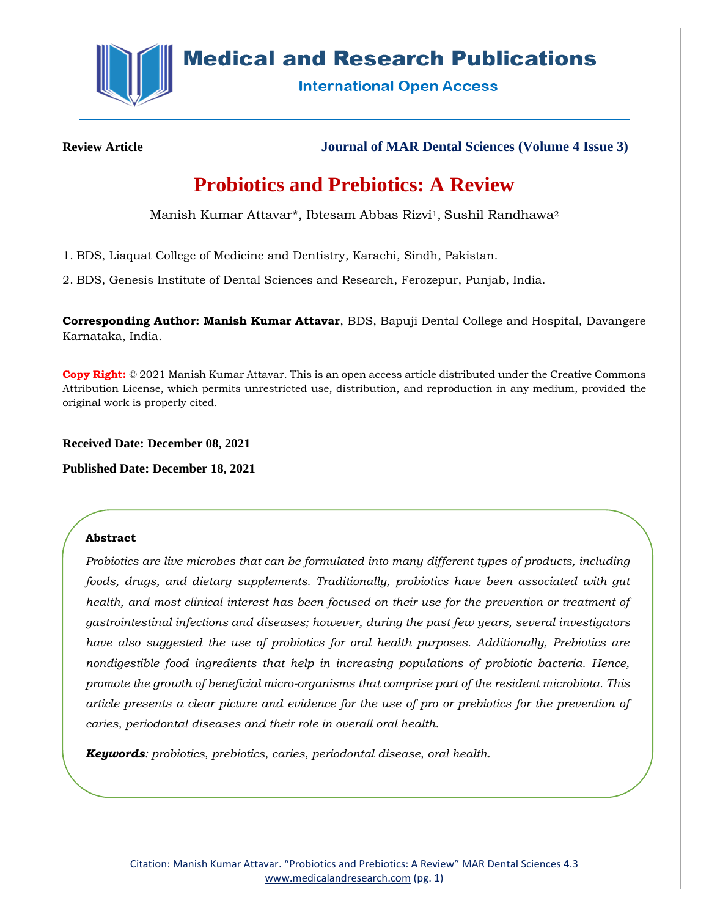

## **Medical and Research Publications**

**International Open Access** 

**Review Article Journal of MAR Dental Sciences (Volume 4 Issue 3)**

# **Probiotics and Prebiotics: A Review**

Manish Kumar Attavar\*, Ibtesam Abbas Rizvi<sup>1</sup>, Sushil Randhawa<sup>2</sup>

1. BDS, Liaquat College of Medicine and Dentistry, Karachi, Sindh, Pakistan.

2. BDS, Genesis Institute of Dental Sciences and Research, Ferozepur, Punjab, India.

**Corresponding Author: Manish Kumar Attavar**, BDS, Bapuji Dental College and Hospital, Davangere Karnataka, India.

**Copy Right:** © 2021 Manish Kumar Attavar. This is an open access article distributed under the Creative Commons Attribution License, which permits unrestricted use, distribution, and reproduction in any medium, provided the original work is properly cited.

**Received Date: December 08, 2021**

**Published Date: December 18, 2021**

## **Abstract**

*Probiotics are live microbes that can be formulated into many different types of products, including foods, drugs, and dietary supplements. Traditionally, probiotics have been associated with gut health, and most clinical interest has been focused on their use for the prevention or treatment of gastrointestinal infections and diseases; however, during the past few years, several investigators have also suggested the use of probiotics for oral health purposes. Additionally, Prebiotics are nondigestible food ingredients that help in increasing populations of probiotic bacteria. Hence, promote the growth of beneficial micro-organisms that comprise part of the resident microbiota. This article presents a clear picture and evidence for the use of pro or prebiotics for the prevention of caries, periodontal diseases and their role in overall oral health.*

*Keywords: probiotics, prebiotics, caries, periodontal disease, oral health.*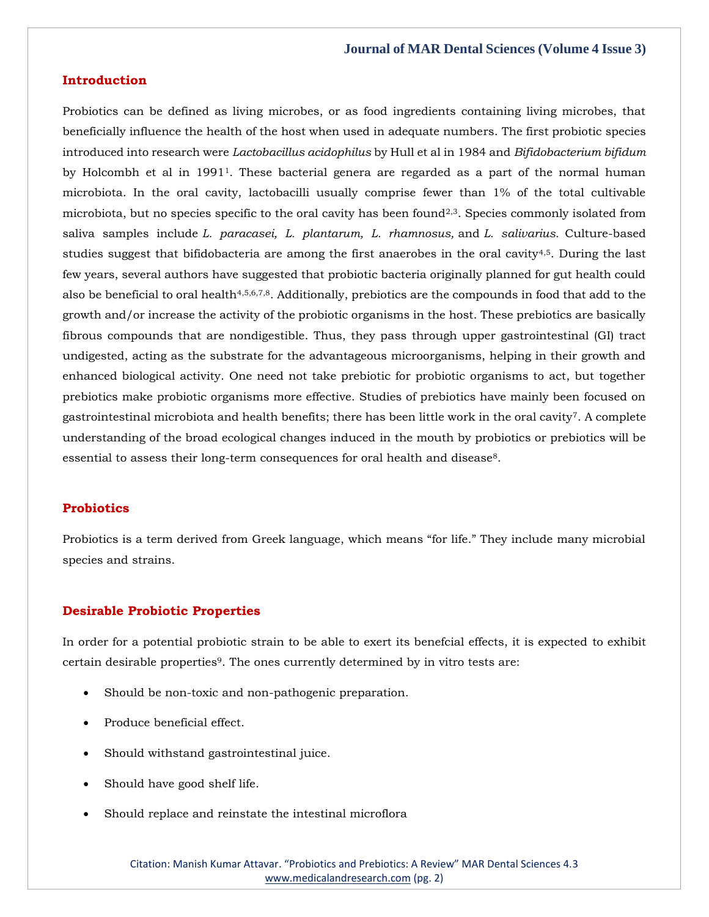#### **Introduction**

Probiotics can be defined as living microbes, or as food ingredients containing living microbes, that beneficially influence the health of the host when used in adequate numbers. The first probiotic species introduced into research were *Lactobacillus acidophilus* by Hull et al in 1984 and *Bifidobacterium bifidum* by Holcombh et al in 19911. These bacterial genera are regarded as a part of the normal human microbiota. In the oral cavity, lactobacilli usually comprise fewer than 1% of the total cultivable microbiota, but no species specific to the oral cavity has been found<sup>2,3</sup>. Species commonly isolated from saliva samples include *L. paracasei, L. plantarum, L. rhamnosus,* and *L. salivarius.* Culture-based studies suggest that bifidobacteria are among the first anaerobes in the oral cavity4,5. During the last few years, several authors have suggested that probiotic bacteria originally planned for gut health could also be beneficial to oral health4,5,6,7,8. Additionally, prebiotics are the compounds in food that add to the growth and/or increase the activity of the probiotic organisms in the host. These prebiotics are basically fibrous compounds that are nondigestible. Thus, they pass through upper gastrointestinal (GI) tract undigested, acting as the substrate for the advantageous microorganisms, helping in their growth and enhanced biological activity. One need not take prebiotic for probiotic organisms to act, but together prebiotics make probiotic organisms more effective. Studies of prebiotics have mainly been focused on gastrointestinal microbiota and health benefits; there has been little work in the oral cavity7. A complete understanding of the broad ecological changes induced in the mouth by probiotics or prebiotics will be essential to assess their long-term consequences for oral health and disease<sup>8</sup>.

## **Probiotics**

Probiotics is a term derived from Greek language, which means "for life." They include many microbial species and strains.

#### **Desirable Probiotic Properties**

In order for a potential probiotic strain to be able to exert its benefcial effects, it is expected to exhibit certain desirable properties9. The ones currently determined by in vitro tests are:

- Should be non-toxic and non-pathogenic preparation.
- Produce beneficial effect.
- Should withstand gastrointestinal juice.
- Should have good shelf life.
- Should replace and reinstate the intestinal microflora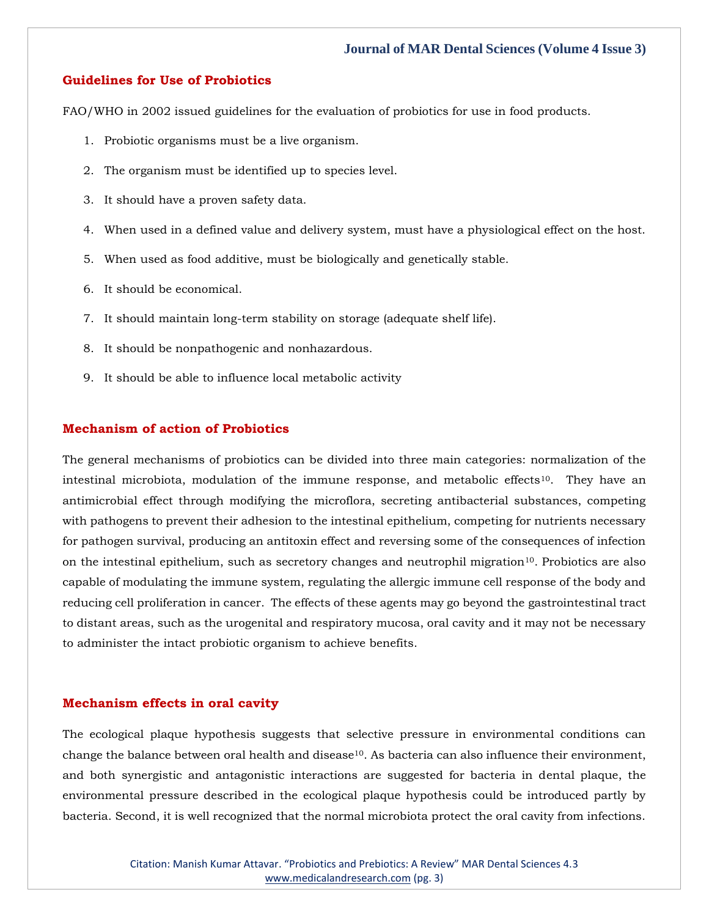## **Guidelines for Use of Probiotics**

FAO/WHO in 2002 issued guidelines for the evaluation of probiotics for use in food products.

- 1. Probiotic organisms must be a live organism.
- 2. The organism must be identified up to species level.
- 3. It should have a proven safety data.
- 4. When used in a defined value and delivery system, must have a physiological effect on the host.
- 5. When used as food additive, must be biologically and genetically stable.
- 6. It should be economical.
- 7. It should maintain long-term stability on storage (adequate shelf life).
- 8. It should be nonpathogenic and nonhazardous.
- 9. It should be able to influence local metabolic activity

## **Mechanism of action of Probiotics**

The general mechanisms of probiotics can be divided into three main categories: normalization of the intestinal microbiota, modulation of the immune response, and metabolic effects<sup>10</sup>. They have an antimicrobial effect through modifying the microflora, secreting antibacterial substances, competing with pathogens to prevent their adhesion to the intestinal epithelium, competing for nutrients necessary for pathogen survival, producing an antitoxin effect and reversing some of the consequences of infection on the intestinal epithelium, such as secretory changes and neutrophil migration10. Probiotics are also capable of modulating the immune system, regulating the allergic immune cell response of the body and reducing cell proliferation in cancer. The effects of these agents may go beyond the gastrointestinal tract to distant areas, such as the urogenital and respiratory mucosa, oral cavity and it may not be necessary to administer the intact probiotic organism to achieve benefits.

#### **Mechanism effects in oral cavity**

The ecological plaque hypothesis suggests that selective pressure in environmental conditions can change the balance between oral health and disease<sup>10</sup>. As bacteria can also influence their environment, and both synergistic and antagonistic interactions are suggested for bacteria in dental plaque, the environmental pressure described in the ecological plaque hypothesis could be introduced partly by bacteria. Second, it is well recognized that the normal microbiota protect the oral cavity from infections.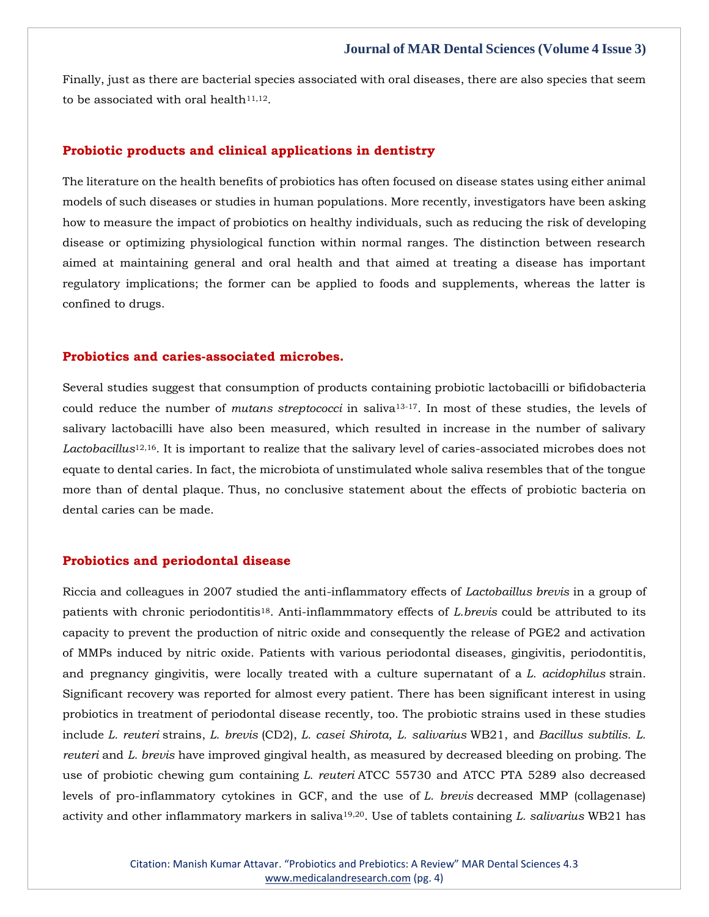Finally, just as there are bacterial species associated with oral diseases, there are also species that seem to be associated with oral health $11,12$ .

#### **Probiotic products and clinical applications in dentistry**

The literature on the health benefits of probiotics has often focused on disease states using either animal models of such diseases or studies in human populations. More recently, investigators have been asking how to measure the impact of probiotics on healthy individuals, such as reducing the risk of developing disease or optimizing physiological function within normal ranges. The distinction between research aimed at maintaining general and oral health and that aimed at treating a disease has important regulatory implications; the former can be applied to foods and supplements, whereas the latter is confined to drugs.

#### **Probiotics and caries-associated microbes.**

Several studies suggest that consumption of products containing probiotic lactobacilli or bifidobacteria could reduce the number of *mutans streptococci* in saliva13-17. In most of these studies, the levels of salivary lactobacilli have also been measured, which resulted in increase in the number of salivary *Lactobacillus*12,16. It is important to realize that the salivary level of caries-associated microbes does not equate to dental caries. In fact, the microbiota of unstimulated whole saliva resembles that of the tongue more than of dental plaque. Thus, no conclusive statement about the effects of probiotic bacteria on dental caries can be made.

#### **Probiotics and periodontal disease**

Riccia and colleagues in 2007 studied the anti-inflammatory effects of *Lactobaillus brevis* in a group of patients with chronic periodontitis18. Anti-inflammmatory effects of *L.brevis* could be attributed to its capacity to prevent the production of nitric oxide and consequently the release of PGE2 and activation of MMPs induced by nitric oxide. Patients with various periodontal diseases, gingivitis, periodontitis, and pregnancy gingivitis, were locally treated with a culture supernatant of a *L. acidophilus* strain. Significant recovery was reported for almost every patient. There has been significant interest in using probiotics in treatment of periodontal disease recently, too. The probiotic strains used in these studies include *L. reuteri* strains, *L. brevis* (CD2), *L. casei Shirota, L. salivarius* WB21, and *Bacillus subtilis. L. reuteri* and *L. brevis* have improved gingival health, as measured by decreased bleeding on probing. The use of probiotic chewing gum containing *L. reuteri* ATCC 55730 and ATCC PTA 5289 also decreased levels of pro-inflammatory cytokines in GCF, and the use of *L. brevis* decreased MMP (collagenase) activity and other inflammatory markers in saliva19,20. Use of tablets containing *L. salivarius* WB21 has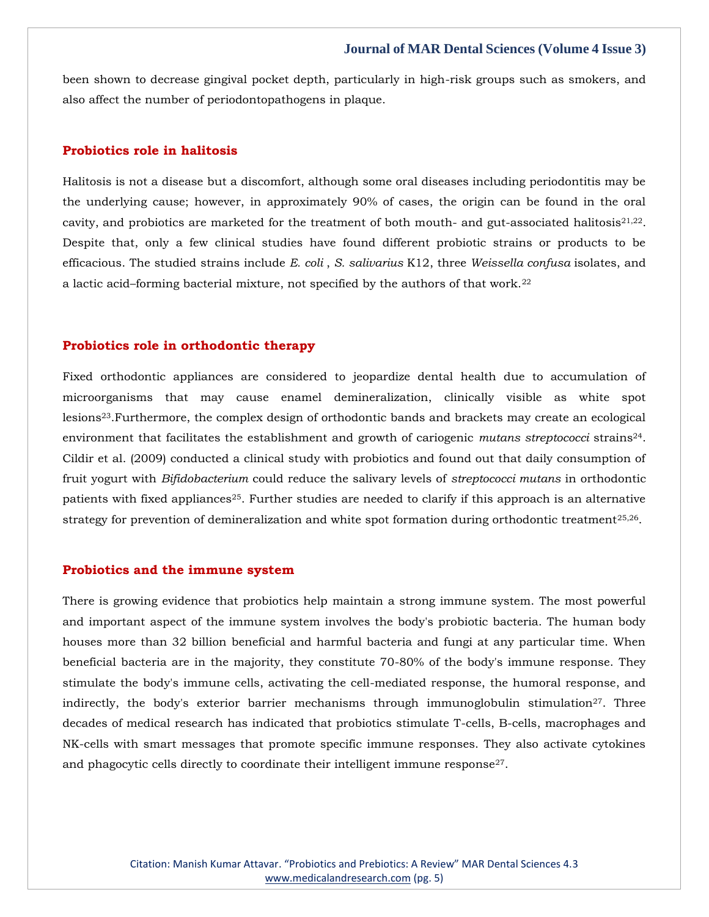been shown to decrease gingival pocket depth, particularly in high-risk groups such as smokers, and also affect the number of periodontopathogens in plaque.

#### **Probiotics role in halitosis**

Halitosis is not a disease but a discomfort, although some oral diseases including periodontitis may be the underlying cause; however, in approximately 90% of cases, the origin can be found in the oral cavity, and probiotics are marketed for the treatment of both mouth- and gut-associated halitosis<sup>21,22</sup>. Despite that, only a few clinical studies have found different probiotic strains or products to be efficacious. The studied strains include *E. coli* , *S. salivarius* K12, three *Weissella confusa* isolates, and a lactic acid–forming bacterial mixture, not specified by the authors of that work.<sup>22</sup>

#### **Probiotics role in orthodontic therapy**

Fixed orthodontic appliances are considered to jeopardize dental health due to accumulation of microorganisms that may cause enamel demineralization, clinically visible as white spot lesions23.Furthermore, the complex design of orthodontic bands and brackets may create an ecological environment that facilitates the establishment and growth of cariogenic *mutans streptococci* strains24. Cildir et al. (2009) conducted a clinical study with probiotics and found out that daily consumption of fruit yogurt with *Bifidobacterium* could reduce the salivary levels of *streptococci mutans* in orthodontic patients with fixed appliances<sup>25</sup>. Further studies are needed to clarify if this approach is an alternative strategy for prevention of demineralization and white spot formation during orthodontic treatment<sup>25,26</sup>.

#### **Probiotics and the immune system**

There is growing evidence that probiotics help maintain a strong immune system. The most powerful and important aspect of the immune system involves the body's probiotic bacteria. The human body houses more than 32 billion beneficial and harmful bacteria and fungi at any particular time. When beneficial bacteria are in the majority, they constitute 70-80% of the body's immune response. They stimulate the body's immune cells, activating the cell-mediated response, the humoral response, and indirectly, the body's exterior barrier mechanisms through immunoglobulin stimulation<sup>27</sup>. Three decades of medical research has indicated that probiotics stimulate T-cells, B-cells, macrophages and NK-cells with smart messages that promote specific immune responses. They also activate cytokines and phagocytic cells directly to coordinate their intelligent immune response<sup>27</sup>.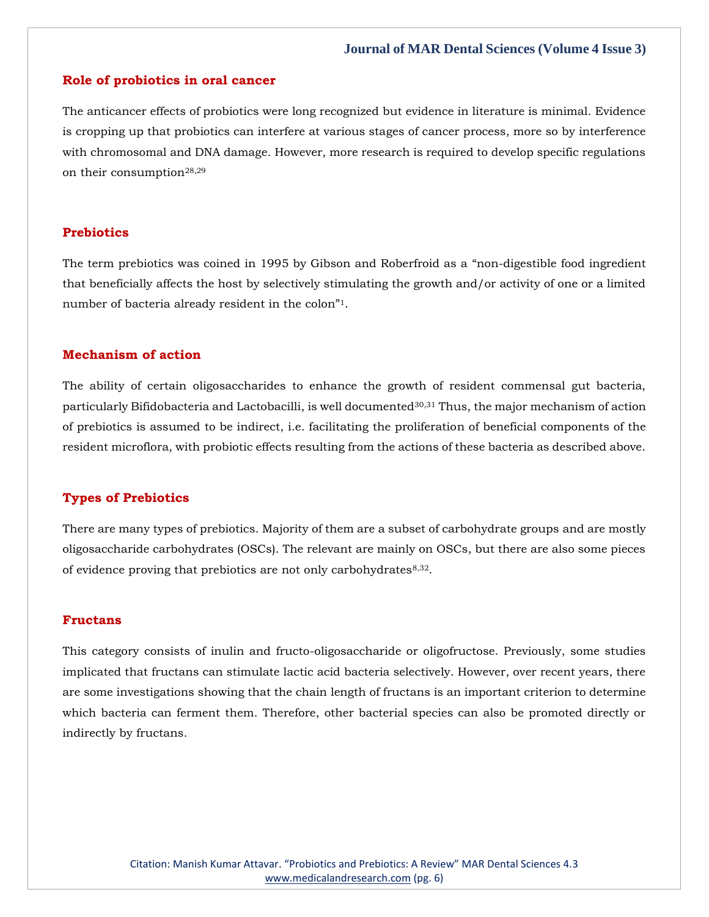#### **Role of probiotics in oral cancer**

The anticancer effects of probiotics were long recognized but evidence in literature is minimal. Evidence is cropping up that probiotics can interfere at various stages of cancer process, more so by interference with chromosomal and DNA damage. However, more research is required to develop specific regulations on their consumption<sup>28,29</sup>

#### **Prebiotics**

The term prebiotics was coined in 1995 by Gibson and Roberfroid as a "non-digestible food ingredient that beneficially affects the host by selectively stimulating the growth and/or activity of one or a limited number of bacteria already resident in the colon"1.

#### **Mechanism of action**

The ability of certain oligosaccharides to enhance the growth of resident commensal gut bacteria, particularly Bifidobacteria and Lactobacilli, is well documented30,31 Thus, the major mechanism of action of prebiotics is assumed to be indirect, i.e. facilitating the proliferation of beneficial components of the resident microflora, with probiotic effects resulting from the actions of these bacteria as described above.

#### **Types of Prebiotics**

There are many types of prebiotics. Majority of them are a subset of carbohydrate groups and are mostly oligosaccharide carbohydrates (OSCs). The relevant are mainly on OSCs, but there are also some pieces of evidence proving that prebiotics are not only carbohydrates $8,32$ .

### **Fructans**

This category consists of inulin and fructo-oligosaccharide or oligofructose. Previously, some studies implicated that fructans can stimulate lactic acid bacteria selectively. However, over recent years, there are some investigations showing that the chain length of fructans is an important criterion to determine which bacteria can ferment them. Therefore, other bacterial species can also be promoted directly or indirectly by fructans.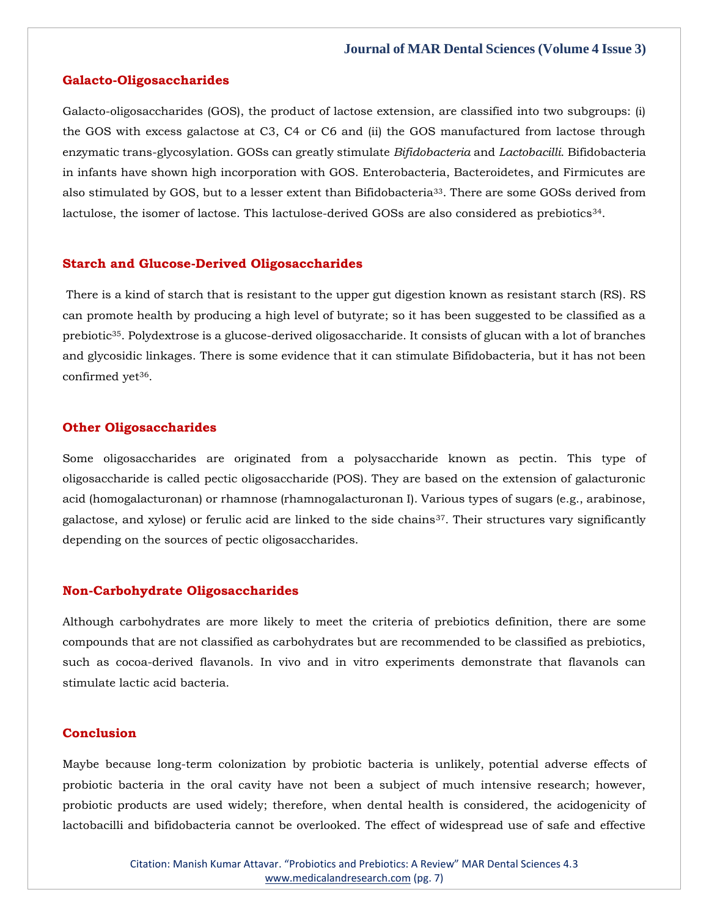#### **Galacto-Oligosaccharides**

Galacto-oligosaccharides (GOS), the product of lactose extension, are classified into two subgroups: (i) the GOS with excess galactose at C3, C4 or C6 and (ii) the GOS manufactured from lactose through enzymatic trans-glycosylation. GOSs can greatly stimulate *Bifidobacteria* and *Lactobacilli*. Bifidobacteria in infants have shown high incorporation with GOS. Enterobacteria, Bacteroidetes, and Firmicutes are also stimulated by GOS, but to a lesser extent than Bifidobacteria33. There are some GOSs derived from lactulose, the isomer of lactose. This lactulose-derived GOSs are also considered as prebiotics<sup>34</sup>.

#### **Starch and Glucose-Derived Oligosaccharides**

There is a kind of starch that is resistant to the upper gut digestion known as resistant starch (RS). RS can promote health by producing a high level of butyrate; so it has been suggested to be classified as a prebiotic35. Polydextrose is a glucose-derived oligosaccharide. It consists of glucan with a lot of branches and glycosidic linkages. There is some evidence that it can stimulate Bifidobacteria, but it has not been confirmed yet<sup>36</sup>.

#### **Other Oligosaccharides**

Some oligosaccharides are originated from a polysaccharide known as pectin. This type of oligosaccharide is called pectic oligosaccharide (POS). They are based on the extension of galacturonic acid (homogalacturonan) or rhamnose (rhamnogalacturonan I). Various types of sugars (e.g., arabinose, galactose, and xylose) or ferulic acid are linked to the side chains $37$ . Their structures vary significantly depending on the sources of pectic oligosaccharides.

#### **Non-Carbohydrate Oligosaccharides**

Although carbohydrates are more likely to meet the criteria of prebiotics definition, there are some compounds that are not classified as carbohydrates but are recommended to be classified as prebiotics, such as cocoa-derived flavanols. In vivo and in vitro experiments demonstrate that flavanols can stimulate lactic acid bacteria.

#### **Conclusion**

Maybe because long-term colonization by probiotic bacteria is unlikely, potential adverse effects of probiotic bacteria in the oral cavity have not been a subject of much intensive research; however, probiotic products are used widely; therefore, when dental health is considered, the acidogenicity of lactobacilli and bifidobacteria cannot be overlooked. The effect of widespread use of safe and effective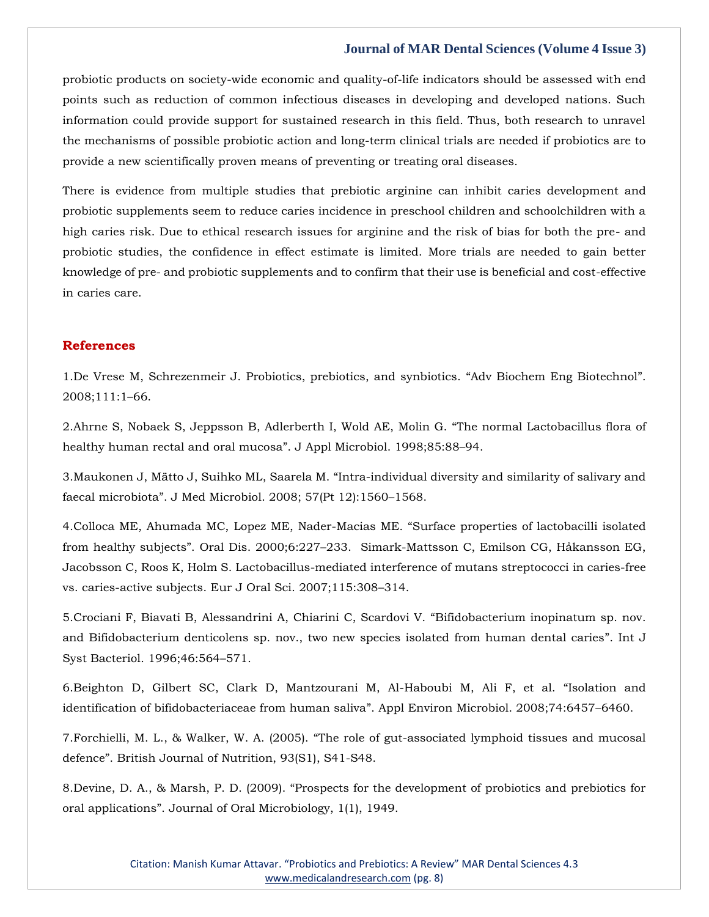probiotic products on society-wide economic and quality-of-life indicators should be assessed with end points such as reduction of common infectious diseases in developing and developed nations. Such information could provide support for sustained research in this field. Thus, both research to unravel the mechanisms of possible probiotic action and long-term clinical trials are needed if probiotics are to provide a new scientifically proven means of preventing or treating oral diseases.

There is evidence from multiple studies that prebiotic arginine can inhibit caries development and probiotic supplements seem to reduce caries incidence in preschool children and schoolchildren with a high caries risk. Due to ethical research issues for arginine and the risk of bias for both the pre- and probiotic studies, the confidence in effect estimate is limited. More trials are needed to gain better knowledge of pre- and probiotic supplements and to confirm that their use is beneficial and cost-effective in caries care.

#### **References**

1[.De Vrese M, Schrezenmeir J. Probiotics, prebiotics, and synbiotics.](https://www.google.com/search?q=Adv+Biochem+Eng+Biotechnol&oq=Adv+Biochem+Eng+Biotechnol&aqs=chrome..69i57.1755j0j7&sourceid=chrome&ie=UTF-8) "Adv Biochem Eng Biotechnol". [2008;111:1](https://www.google.com/search?q=Adv+Biochem+Eng+Biotechnol&oq=Adv+Biochem+Eng+Biotechnol&aqs=chrome..69i57.1755j0j7&sourceid=chrome&ie=UTF-8)–66.

2[.Ahrne S, Nobaek S, Jeppsson B, Adlerberth I, Wold AE, Molin G.](https://www.google.com/search?q=The+normal+Lactobacillus+flora+of+healthy+human+rectal+and+oral+mucosa&sxsrf=AOaemvLdNFsBdM8fc8NlGQyY89Iszrv4aA%3A1639214335084&ei=_2y0YZLJBMXcmAXoi5aQBw&ved=0ahUKEwjSxJyhtdv0AhVFLqYKHeiFBXIQ4dUDCA4&uact=5&oq=The+normal+Lactobacillus+flora+of+healthy+human+rectal+and+oral+mucosa&gs_lcp=Cgdnd3Mtd2l6EAMyBwgjEOoCECcyBwgjEOoCECcyBwgjEOoCECcyBwgjEOoCECcyBwgjEOoCECcyBwgjEOoCECcyBwgjEOoCECcyBwgjEOoCECcyBwgjEOoCECcyBwgjEOoCECdKBAhBGABKBAhGGABQtQ1YtQ1g2xVoAXACeACAAQCIAQCSAQCYAQCgAQGgAQKwAQrAAQE&sclient=gws-wiz) "The normal Lactobacillus flora of [healthy human rectal and oral mucosa](https://www.google.com/search?q=The+normal+Lactobacillus+flora+of+healthy+human+rectal+and+oral+mucosa&sxsrf=AOaemvLdNFsBdM8fc8NlGQyY89Iszrv4aA%3A1639214335084&ei=_2y0YZLJBMXcmAXoi5aQBw&ved=0ahUKEwjSxJyhtdv0AhVFLqYKHeiFBXIQ4dUDCA4&uact=5&oq=The+normal+Lactobacillus+flora+of+healthy+human+rectal+and+oral+mucosa&gs_lcp=Cgdnd3Mtd2l6EAMyBwgjEOoCECcyBwgjEOoCECcyBwgjEOoCECcyBwgjEOoCECcyBwgjEOoCECcyBwgjEOoCECcyBwgjEOoCECcyBwgjEOoCECcyBwgjEOoCECcyBwgjEOoCECdKBAhBGABKBAhGGABQtQ1YtQ1g2xVoAXACeACAAQCIAQCSAQCYAQCgAQGgAQKwAQrAAQE&sclient=gws-wiz)". J Appl Microbiol. 1998;85:88–94.

3.Maukonen J, Mätto J, Suihko ML, Saarela M. "[Intra-individual diversity and similarity of salivary and](https://www.google.com/search?q=Intra-individual+diversity+and+similarity+of+salivary+and+faecal+microbiota&sxsrf=AOaemvIH1qdlcOVMcy6i7tUJtr5ni8h9RQ%3A1639214393338&ei=OW20YcGQFIWCr7wP_ZunwA4&ved=0ahUKEwiBkYC9tdv0AhUFwYsBHf3NCegQ4dUDCA4&uact=5&oq=Intra-individual+diversity+and+similarity+of+salivary+and+faecal+microbiota&gs_lcp=Cgdnd3Mtd2l6EAMyBwgjEOoCECcyBwgjEOoCECcyBwgjEOoCECcyBwgjEOoCECcyBwgjEOoCECcyBwgjEOoCECcyBwgjEOoCECcyBwgjEOoCECcyBwgjEOoCECcyBwgjEOoCECdKBAhBGABKBAhGGABQpQZYpQZg6wloAXAAeACAAQCIAQCSAQCYAQCgAQGgAQKwAQrAAQE&sclient=gws-wiz)  faecal microbiota"[. J Med Microbiol. 2008; 57\(Pt 12\):1560](https://www.google.com/search?q=Intra-individual+diversity+and+similarity+of+salivary+and+faecal+microbiota&sxsrf=AOaemvIH1qdlcOVMcy6i7tUJtr5ni8h9RQ%3A1639214393338&ei=OW20YcGQFIWCr7wP_ZunwA4&ved=0ahUKEwiBkYC9tdv0AhUFwYsBHf3NCegQ4dUDCA4&uact=5&oq=Intra-individual+diversity+and+similarity+of+salivary+and+faecal+microbiota&gs_lcp=Cgdnd3Mtd2l6EAMyBwgjEOoCECcyBwgjEOoCECcyBwgjEOoCECcyBwgjEOoCECcyBwgjEOoCECcyBwgjEOoCECcyBwgjEOoCECcyBwgjEOoCECcyBwgjEOoCECcyBwgjEOoCECdKBAhBGABKBAhGGABQpQZYpQZg6wloAXAAeACAAQCIAQCSAQCYAQCgAQGgAQKwAQrAAQE&sclient=gws-wiz)–1568.

4[.Colloca ME, Ahumada MC, Lopez ME, Nader-Macias ME.](https://www.google.com/search?q=Surface+properties+of+lactobacilli+isolated+from+healthy+subjects&sxsrf=AOaemvJL8KllwVy6Ly0WDqhY0bzgAHejaw%3A1639214426517&ei=Wm20YcLzHpqRr7wPkvOFkAU&ved=0ahUKEwjCiOnMtdv0AhWayIsBHZJ5AVIQ4dUDCA4&uact=5&oq=Surface+properties+of+lactobacilli+isolated+from+healthy+subjects&gs_lcp=Cgdnd3Mtd2l6EAMyBwgjEOoCECcyBwgjEOoCECcyBwgjEOoCECcyBwgjEOoCECcyBwgjEOoCECcyBwgjEOoCECcyBwgjEOoCECcyBwgjEOoCECcyBwgjEOoCECcyBwgjEOoCECdKBAhBGABKBAhGGABQwwVYwwVg9wdoAXAAeACAAQCIAQCSAQCYAQCgAQGgAQKwAQrAAQE&sclient=gws-wiz) "Surface properties of lactobacilli isolated from healthy subjects". Oral Dis. 2000;6:227–[233. Simark-Mattsson C, Emilson CG, Håkansson EG,](https://www.google.com/search?q=Surface+properties+of+lactobacilli+isolated+from+healthy+subjects&sxsrf=AOaemvJL8KllwVy6Ly0WDqhY0bzgAHejaw%3A1639214426517&ei=Wm20YcLzHpqRr7wPkvOFkAU&ved=0ahUKEwjCiOnMtdv0AhWayIsBHZJ5AVIQ4dUDCA4&uact=5&oq=Surface+properties+of+lactobacilli+isolated+from+healthy+subjects&gs_lcp=Cgdnd3Mtd2l6EAMyBwgjEOoCECcyBwgjEOoCECcyBwgjEOoCECcyBwgjEOoCECcyBwgjEOoCECcyBwgjEOoCECcyBwgjEOoCECcyBwgjEOoCECcyBwgjEOoCECcyBwgjEOoCECdKBAhBGABKBAhGGABQwwVYwwVg9wdoAXAAeACAAQCIAQCSAQCYAQCgAQGgAQKwAQrAAQE&sclient=gws-wiz)  [Jacobsson C, Roos K, Holm S. Lactobacillus-mediated interference of mutans streptococci in caries-free](https://www.google.com/search?q=Surface+properties+of+lactobacilli+isolated+from+healthy+subjects&sxsrf=AOaemvJL8KllwVy6Ly0WDqhY0bzgAHejaw%3A1639214426517&ei=Wm20YcLzHpqRr7wPkvOFkAU&ved=0ahUKEwjCiOnMtdv0AhWayIsBHZJ5AVIQ4dUDCA4&uact=5&oq=Surface+properties+of+lactobacilli+isolated+from+healthy+subjects&gs_lcp=Cgdnd3Mtd2l6EAMyBwgjEOoCECcyBwgjEOoCECcyBwgjEOoCECcyBwgjEOoCECcyBwgjEOoCECcyBwgjEOoCECcyBwgjEOoCECcyBwgjEOoCECcyBwgjEOoCECcyBwgjEOoCECdKBAhBGABKBAhGGABQwwVYwwVg9wdoAXAAeACAAQCIAQCSAQCYAQCgAQGgAQKwAQrAAQE&sclient=gws-wiz)  [vs. caries-active subjects. Eur J Oral Sci. 2007;115:308](https://www.google.com/search?q=Surface+properties+of+lactobacilli+isolated+from+healthy+subjects&sxsrf=AOaemvJL8KllwVy6Ly0WDqhY0bzgAHejaw%3A1639214426517&ei=Wm20YcLzHpqRr7wPkvOFkAU&ved=0ahUKEwjCiOnMtdv0AhWayIsBHZJ5AVIQ4dUDCA4&uact=5&oq=Surface+properties+of+lactobacilli+isolated+from+healthy+subjects&gs_lcp=Cgdnd3Mtd2l6EAMyBwgjEOoCECcyBwgjEOoCECcyBwgjEOoCECcyBwgjEOoCECcyBwgjEOoCECcyBwgjEOoCECcyBwgjEOoCECcyBwgjEOoCECcyBwgjEOoCECcyBwgjEOoCECdKBAhBGABKBAhGGABQwwVYwwVg9wdoAXAAeACAAQCIAQCSAQCYAQCgAQGgAQKwAQrAAQE&sclient=gws-wiz)–314.

5[.Crociani F, Biavati B, Alessandrini A, Chiarini C, Scardovi V.](https://www.google.com/search?q=Bifidobacterium+inopinatum+sp.+nov.+and+Bifidobacterium+denticolens+sp.+nov.%2C+two+new+species+isolated+from+human+dental+caries&sxsrf=AOaemvKYZHViQSGyc0vklR274WOm6u_1Zw%3A1639214449145&ei=cW20YfahCNCUmAWg353gDA&ved=0ahUKEwi2ns7Xtdv0AhVQCqYKHaBvB8wQ4dUDCA4&uact=5&oq=Bifidobacterium+inopinatum+sp.+nov.+and+Bifidobacterium+denticolens+sp.+nov.%2C+two+new+species+isolated+from+human+dental+caries&gs_lcp=Cgdnd3Mtd2l6EAMyBwgjEOoCECcyBwgjEOoCECcyBwgjEOoCECcyBwgjEOoCECcyBwgjEOoCECcyBwgjEOoCECcyBwgjEOoCECcyBwgjEOoCECcyBwgjEOoCECcyBwgjEOoCECdKBAhBGABKBAhGGABQmR5YmR5g0SFoAXAAeACAAQCIAQCSAQCYAQCgAQGgAQKwAQrAAQE&sclient=gws-wiz) "Bifidobacterium inopinatum sp. nov. [and Bifidobacterium denticolens sp. nov., two new species isolated from human dental caries](https://www.google.com/search?q=Bifidobacterium+inopinatum+sp.+nov.+and+Bifidobacterium+denticolens+sp.+nov.%2C+two+new+species+isolated+from+human+dental+caries&sxsrf=AOaemvKYZHViQSGyc0vklR274WOm6u_1Zw%3A1639214449145&ei=cW20YfahCNCUmAWg353gDA&ved=0ahUKEwi2ns7Xtdv0AhVQCqYKHaBvB8wQ4dUDCA4&uact=5&oq=Bifidobacterium+inopinatum+sp.+nov.+and+Bifidobacterium+denticolens+sp.+nov.%2C+two+new+species+isolated+from+human+dental+caries&gs_lcp=Cgdnd3Mtd2l6EAMyBwgjEOoCECcyBwgjEOoCECcyBwgjEOoCECcyBwgjEOoCECcyBwgjEOoCECcyBwgjEOoCECcyBwgjEOoCECcyBwgjEOoCECcyBwgjEOoCECcyBwgjEOoCECdKBAhBGABKBAhGGABQmR5YmR5g0SFoAXAAeACAAQCIAQCSAQCYAQCgAQGgAQKwAQrAAQE&sclient=gws-wiz)". Int J [Syst Bacteriol. 1996;46:564](https://www.google.com/search?q=Bifidobacterium+inopinatum+sp.+nov.+and+Bifidobacterium+denticolens+sp.+nov.%2C+two+new+species+isolated+from+human+dental+caries&sxsrf=AOaemvKYZHViQSGyc0vklR274WOm6u_1Zw%3A1639214449145&ei=cW20YfahCNCUmAWg353gDA&ved=0ahUKEwi2ns7Xtdv0AhVQCqYKHaBvB8wQ4dUDCA4&uact=5&oq=Bifidobacterium+inopinatum+sp.+nov.+and+Bifidobacterium+denticolens+sp.+nov.%2C+two+new+species+isolated+from+human+dental+caries&gs_lcp=Cgdnd3Mtd2l6EAMyBwgjEOoCECcyBwgjEOoCECcyBwgjEOoCECcyBwgjEOoCECcyBwgjEOoCECcyBwgjEOoCECcyBwgjEOoCECcyBwgjEOoCECcyBwgjEOoCECcyBwgjEOoCECdKBAhBGABKBAhGGABQmR5YmR5g0SFoAXAAeACAAQCIAQCSAQCYAQCgAQGgAQKwAQrAAQE&sclient=gws-wiz)–571.

6[.Beighton D, Gilbert SC, Clark D, Mantzourani M, Al-Haboubi M, Ali F, et al.](https://www.google.com/search?q=Isolation+and+identification+of+bifidobacteriaceae+from+human+saliva&sxsrf=AOaemvJF-YlrrcEfYjz03x07p3ZpiP7lTQ%3A1639214474773&ei=im20YcDLLs-Nr7wPxZeooAE&ved=0ahUKEwjAuOrjtdv0AhXPxosBHcULChQQ4dUDCA4&uact=5&oq=Isolation+and+identification+of+bifidobacteriaceae+from+human+saliva&gs_lcp=Cgdnd3Mtd2l6EAM6BwgjEOoCECdKBAhBGABKBAhGGABQ6wVY6wVgsQhoAXAAeACAAZoCiAGaApIBAzItMZgBAKABAaABArABCsABAQ&sclient=gws-wiz) "Isolation and [identification of bifidobacteriaceae from human saliva](https://www.google.com/search?q=Isolation+and+identification+of+bifidobacteriaceae+from+human+saliva&sxsrf=AOaemvJF-YlrrcEfYjz03x07p3ZpiP7lTQ%3A1639214474773&ei=im20YcDLLs-Nr7wPxZeooAE&ved=0ahUKEwjAuOrjtdv0AhXPxosBHcULChQQ4dUDCA4&uact=5&oq=Isolation+and+identification+of+bifidobacteriaceae+from+human+saliva&gs_lcp=Cgdnd3Mtd2l6EAM6BwgjEOoCECdKBAhBGABKBAhGGABQ6wVY6wVgsQhoAXAAeACAAZoCiAGaApIBAzItMZgBAKABAaABArABCsABAQ&sclient=gws-wiz)". Appl Environ Microbiol. 2008;74:6457–6460.

7.Forchielli, M. L., & Walker, W. A. (2005). "[The role of gut-associated lymphoid tissues and mucosal](https://www.google.com/search?q=The+role+of+gut-associated+lymphoid+tissues+and+mucosal+defence&sxsrf=AOaemvJJdoTdAgkS27c5F7Yz84VbEkY0Rw%3A1639214511038&ei=r220YcfhAb3emAWvoLKYAw&ved=0ahUKEwiH9Y_1tdv0AhU9L6YKHS-QDDMQ4dUDCA4&uact=5&oq=The+role+of+gut-associated+lymphoid+tissues+and+mucosal+defence&gs_lcp=Cgdnd3Mtd2l6EAMyBggAEBYQHjoHCCMQ6gIQJ0oECEEYAEoECEYYAFCJBliJBmDICGgBcAB4AIABlQKIAZUCkgEDMi0xmAEAoAEBoAECsAEKwAEB&sclient=gws-wiz)  defence"[. British Journal of Nutrition, 93\(S1\), S41-S48.](https://www.google.com/search?q=The+role+of+gut-associated+lymphoid+tissues+and+mucosal+defence&sxsrf=AOaemvJJdoTdAgkS27c5F7Yz84VbEkY0Rw%3A1639214511038&ei=r220YcfhAb3emAWvoLKYAw&ved=0ahUKEwiH9Y_1tdv0AhU9L6YKHS-QDDMQ4dUDCA4&uact=5&oq=The+role+of+gut-associated+lymphoid+tissues+and+mucosal+defence&gs_lcp=Cgdnd3Mtd2l6EAMyBggAEBYQHjoHCCMQ6gIQJ0oECEEYAEoECEYYAFCJBliJBmDICGgBcAB4AIABlQKIAZUCkgEDMi0xmAEAoAEBoAECsAEKwAEB&sclient=gws-wiz)

8.Devine, D. A., & Marsh, P. D. (2009). "[Prospects for the development of probiotics and prebiotics for](https://www.google.com/search?q=Prospects+for+the+development+of+probiotics+and+prebiotics+for+oral+applications&sxsrf=AOaemvKfjHyUgrnzBrOZWu8ji9k_j8uImA%3A1639214554641&ei=2m20Ya3BJoyK0ASWpKDgDA&ved=0ahUKEwitlvWJttv0AhUMBZQKHRYSCMwQ4dUDCA4&uact=5&oq=Prospects+for+the+development+of+probiotics+and+prebiotics+for+oral+applications&gs_lcp=Cgdnd3Mtd2l6EAMyBAgAEB46BwgjEOoCECdKBAhBGABKBAhGGABQ5QVY5QVg-wdoAXAAeACAAdsBiAHbAZIBAzItMZgBAKABAaABArABCsABAQ&sclient=gws-wiz)  oral applications"[. Journal of Oral Microbiology, 1\(1\), 1949.](https://www.google.com/search?q=Prospects+for+the+development+of+probiotics+and+prebiotics+for+oral+applications&sxsrf=AOaemvKfjHyUgrnzBrOZWu8ji9k_j8uImA%3A1639214554641&ei=2m20Ya3BJoyK0ASWpKDgDA&ved=0ahUKEwitlvWJttv0AhUMBZQKHRYSCMwQ4dUDCA4&uact=5&oq=Prospects+for+the+development+of+probiotics+and+prebiotics+for+oral+applications&gs_lcp=Cgdnd3Mtd2l6EAMyBAgAEB46BwgjEOoCECdKBAhBGABKBAhGGABQ5QVY5QVg-wdoAXAAeACAAdsBiAHbAZIBAzItMZgBAKABAaABArABCsABAQ&sclient=gws-wiz)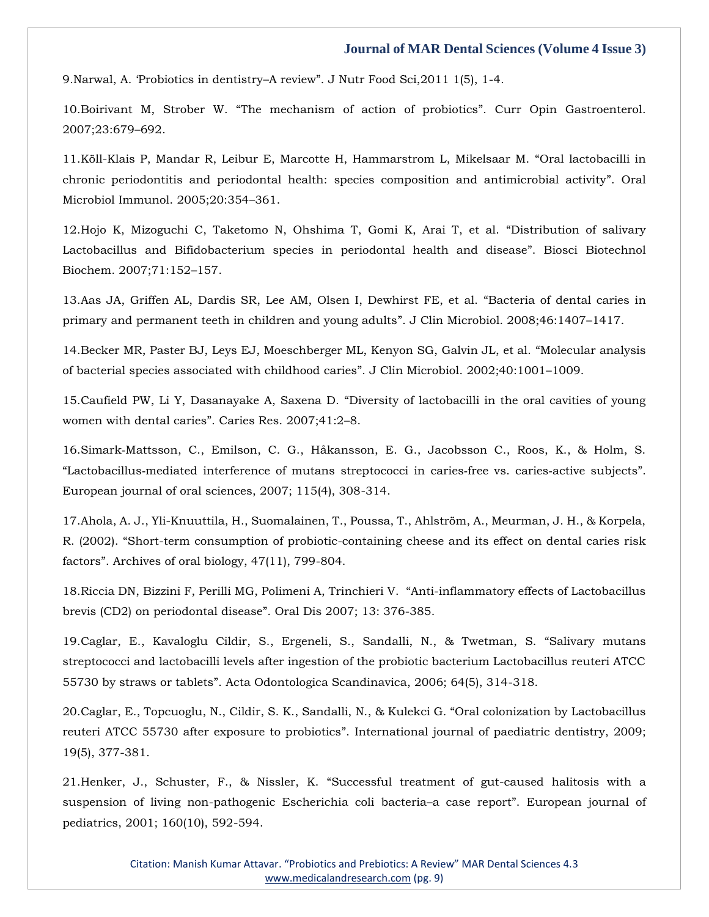9.Narwal, A. 'Probiotics in dentistry–A review"[. J Nutr Food Sci,2011 1\(5\), 1-4.](https://www.google.com/search?q=Probiotics+in+dentistry%E2%80%93A+review&sxsrf=AOaemvIkuP1YUgue2Lbd5psxIGQsU-BSbg%3A1639214694764&ei=Zm60YbjYLbao2roP9vKA0A8&ved=0ahUKEwi4o93Mttv0AhU2lFYBHXY5APoQ4dUDCA4&uact=5&oq=Probiotics+in+dentistry%E2%80%93A+review&gs_lcp=Cgdnd3Mtd2l6EAMyCAghEBYQHRAeMggIIRAWEB0QHjoHCCMQ6gIQJ0oECEEYAEoECEYYAFCcBlicBmCvCWgBcAB4AIABsQKIAbECkgEDMy0xmAEAoAEBoAECsAEKwAEB&sclient=gws-wiz)

10.Boirivant M, Strober W. "[The mechanism of action of probiotics](https://www.google.com/search?q=The+mechanism+of+action+of+probiotics&sxsrf=AOaemvKzIUR47Tj8AIrCAgWRuVvmNoxkdQ%3A1639214792572&ei=yG60YebPIYvd2roPwMujeA&ved=0ahUKEwjm0677ttv0AhWLrlYBHcDlCA8Q4dUDCA4&uact=5&oq=The+mechanism+of+action+of+probiotics&gs_lcp=Cgdnd3Mtd2l6EAMyBwgjEOoCECcyBwgjEOoCECcyBwgjEOoCECcyBwgjEOoCECcyBwgjEOoCECcyBwgjEOoCECcyBwgjEOoCECcyBwgjEOoCECcyBwgjEOoCECcyBwgjEOoCECdKBAhBGABKBAhGGABQnwZYnwZguwhoAXACeACAAQCIAQCSAQCYAQCgAQGgAQKwAQrAAQE&sclient=gws-wiz)". Curr Opin Gastroenterol. [2007;23:679](https://www.google.com/search?q=The+mechanism+of+action+of+probiotics&sxsrf=AOaemvKzIUR47Tj8AIrCAgWRuVvmNoxkdQ%3A1639214792572&ei=yG60YebPIYvd2roPwMujeA&ved=0ahUKEwjm0677ttv0AhWLrlYBHcDlCA8Q4dUDCA4&uact=5&oq=The+mechanism+of+action+of+probiotics&gs_lcp=Cgdnd3Mtd2l6EAMyBwgjEOoCECcyBwgjEOoCECcyBwgjEOoCECcyBwgjEOoCECcyBwgjEOoCECcyBwgjEOoCECcyBwgjEOoCECcyBwgjEOoCECcyBwgjEOoCECcyBwgjEOoCECdKBAhBGABKBAhGGABQnwZYnwZguwhoAXACeACAAQCIAQCSAQCYAQCgAQGgAQKwAQrAAQE&sclient=gws-wiz)–692.

11[.Köll-Klais P, Mandar R, Leibur E, Marcotte H, Hammarstrom L, Mikelsaar M.](https://www.google.com/search?q=Oral+lactobacilli+in+chronic+periodontitis+and+periodontal+health%3A+species+composition+and+antimicrobial+activity&sxsrf=AOaemvKQwFb5cf5Wx-fnSw7RXgkesf7IvA%3A1639214845883&ei=_W60YZiLNZSN2roP5saayAg&ved=0ahUKEwjY_eSUt9v0AhWUhlYBHWajBokQ4dUDCA4&uact=5&oq=Oral+lactobacilli+in+chronic+periodontitis+and+periodontal+health%3A+species+composition+and+antimicrobial+activity&gs_lcp=Cgdnd3Mtd2l6EAMyBwgjEOoCECcyBwgjEOoCECcyBwgjEOoCECcyBwgjEOoCECcyBwgjEOoCECcyBwgjEOoCECcyBwgjEOoCECcyBwgjEOoCECcyBwgjEOoCECcyBwgjEOoCECdKBAhBGABKBAhGGABQvwVYvwVg7QdoAXACeACAAQCIAQCSAQCYAQCgAQGgAQKwAQrAAQE&sclient=gws-wiz) "Oral lactobacilli in [chronic periodontitis and periodontal health: species composition and antimicrobial activity](https://www.google.com/search?q=Oral+lactobacilli+in+chronic+periodontitis+and+periodontal+health%3A+species+composition+and+antimicrobial+activity&sxsrf=AOaemvKQwFb5cf5Wx-fnSw7RXgkesf7IvA%3A1639214845883&ei=_W60YZiLNZSN2roP5saayAg&ved=0ahUKEwjY_eSUt9v0AhWUhlYBHWajBokQ4dUDCA4&uact=5&oq=Oral+lactobacilli+in+chronic+periodontitis+and+periodontal+health%3A+species+composition+and+antimicrobial+activity&gs_lcp=Cgdnd3Mtd2l6EAMyBwgjEOoCECcyBwgjEOoCECcyBwgjEOoCECcyBwgjEOoCECcyBwgjEOoCECcyBwgjEOoCECcyBwgjEOoCECcyBwgjEOoCECcyBwgjEOoCECcyBwgjEOoCECdKBAhBGABKBAhGGABQvwVYvwVg7QdoAXACeACAAQCIAQCSAQCYAQCgAQGgAQKwAQrAAQE&sclient=gws-wiz)". Oral [Microbiol Immunol. 2005;20:354](https://www.google.com/search?q=Oral+lactobacilli+in+chronic+periodontitis+and+periodontal+health%3A+species+composition+and+antimicrobial+activity&sxsrf=AOaemvKQwFb5cf5Wx-fnSw7RXgkesf7IvA%3A1639214845883&ei=_W60YZiLNZSN2roP5saayAg&ved=0ahUKEwjY_eSUt9v0AhWUhlYBHWajBokQ4dUDCA4&uact=5&oq=Oral+lactobacilli+in+chronic+periodontitis+and+periodontal+health%3A+species+composition+and+antimicrobial+activity&gs_lcp=Cgdnd3Mtd2l6EAMyBwgjEOoCECcyBwgjEOoCECcyBwgjEOoCECcyBwgjEOoCECcyBwgjEOoCECcyBwgjEOoCECcyBwgjEOoCECcyBwgjEOoCECcyBwgjEOoCECcyBwgjEOoCECdKBAhBGABKBAhGGABQvwVYvwVg7QdoAXACeACAAQCIAQCSAQCYAQCgAQGgAQKwAQrAAQE&sclient=gws-wiz)–361.

12[.Hojo K, Mizoguchi C, Taketomo N, Ohshima T, Gomi K, Arai T, et al.](https://www.google.com/search?q=Distribution+of+salivary+Lactobacillus+and+Bifidobacterium+species+in+periodontal+health+and+disease&sxsrf=AOaemvIwQ1BkqO8YSyBimqIflnPHL80Ovw%3A1639214881068&ei=IW-0Yf2GA_Xn2roP7tWPoAg&ved=0ahUKEwi9m8ilt9v0AhX1s1YBHe7qA4QQ4dUDCA4&uact=5&oq=Distribution+of+salivary+Lactobacillus+and+Bifidobacterium+species+in+periodontal+health+and+disease&gs_lcp=Cgdnd3Mtd2l6EAMyBAgjECc6BwgjEOoCECdKBAhBGABKBAhGGABQ9wVY9wVgxAhoAXAAeACAAe0BiAHtAZIBAzItMZgBAKABAaABArABCsABAQ&sclient=gws-wiz) "Distribution of salivary [Lactobacillus and Bifidobacterium species in periodontal health and disease](https://www.google.com/search?q=Distribution+of+salivary+Lactobacillus+and+Bifidobacterium+species+in+periodontal+health+and+disease&sxsrf=AOaemvIwQ1BkqO8YSyBimqIflnPHL80Ovw%3A1639214881068&ei=IW-0Yf2GA_Xn2roP7tWPoAg&ved=0ahUKEwi9m8ilt9v0AhX1s1YBHe7qA4QQ4dUDCA4&uact=5&oq=Distribution+of+salivary+Lactobacillus+and+Bifidobacterium+species+in+periodontal+health+and+disease&gs_lcp=Cgdnd3Mtd2l6EAMyBAgjECc6BwgjEOoCECdKBAhBGABKBAhGGABQ9wVY9wVgxAhoAXAAeACAAe0BiAHtAZIBAzItMZgBAKABAaABArABCsABAQ&sclient=gws-wiz)". Biosci Biotechnol [Biochem. 2007;71:152](https://www.google.com/search?q=Distribution+of+salivary+Lactobacillus+and+Bifidobacterium+species+in+periodontal+health+and+disease&sxsrf=AOaemvIwQ1BkqO8YSyBimqIflnPHL80Ovw%3A1639214881068&ei=IW-0Yf2GA_Xn2roP7tWPoAg&ved=0ahUKEwi9m8ilt9v0AhX1s1YBHe7qA4QQ4dUDCA4&uact=5&oq=Distribution+of+salivary+Lactobacillus+and+Bifidobacterium+species+in+periodontal+health+and+disease&gs_lcp=Cgdnd3Mtd2l6EAMyBAgjECc6BwgjEOoCECdKBAhBGABKBAhGGABQ9wVY9wVgxAhoAXAAeACAAe0BiAHtAZIBAzItMZgBAKABAaABArABCsABAQ&sclient=gws-wiz)–157.

13[.Aas JA, Griffen AL, Dardis SR, Lee AM, Olsen I, Dewhirst FE, et al.](https://www.google.com/search?q=Bacteria+of+dental+caries+in+primary+and+permanent+teeth+in+children+and+young+adults&sxsrf=AOaemvIwQ1BkqO8YSyBimqIflnPHL80Ovw%3A1639214881068&ei=IW-0Yf2GA_Xn2roP7tWPoAg&ved=0ahUKEwi9m8ilt9v0AhX1s1YBHe7qA4QQ4dUDCA4&uact=5&oq=Bacteria+of+dental+caries+in+primary+and+permanent+teeth+in+children+and+young+adults&gs_lcp=Cgdnd3Mtd2l6EAMyBwgjEOoCECcyBwgjEOoCECcyBwgjEOoCECcyBwgjEOoCECcyBwgjEOoCECcyBwgjEOoCECcyBwgjEOoCECcyBwgjEOoCECcyBwgjEOoCECcyBwgjEOoCECdKBAhBGABKBAhGGABQxQdYxQdgiQpoAXAAeACAAQCIAQCSAQCYAQCgAQGgAQKwAQrAAQE&sclient=gws-wiz) "Bacteria of dental caries in [primary and permanent teeth in children and young adults](https://www.google.com/search?q=Bacteria+of+dental+caries+in+primary+and+permanent+teeth+in+children+and+young+adults&sxsrf=AOaemvIwQ1BkqO8YSyBimqIflnPHL80Ovw%3A1639214881068&ei=IW-0Yf2GA_Xn2roP7tWPoAg&ved=0ahUKEwi9m8ilt9v0AhX1s1YBHe7qA4QQ4dUDCA4&uact=5&oq=Bacteria+of+dental+caries+in+primary+and+permanent+teeth+in+children+and+young+adults&gs_lcp=Cgdnd3Mtd2l6EAMyBwgjEOoCECcyBwgjEOoCECcyBwgjEOoCECcyBwgjEOoCECcyBwgjEOoCECcyBwgjEOoCECcyBwgjEOoCECcyBwgjEOoCECcyBwgjEOoCECcyBwgjEOoCECdKBAhBGABKBAhGGABQxQdYxQdgiQpoAXAAeACAAQCIAQCSAQCYAQCgAQGgAQKwAQrAAQE&sclient=gws-wiz)". J Clin Microbiol. 2008;46:1407–1417.

14[.Becker MR, Paster BJ, Leys EJ, Moeschberger ML, Kenyon SG, Galvin JL, et al.](https://www.google.com/search?q=Molecular+analysis+of+bacterial+species+associated+with+childhood+caries&sxsrf=AOaemvIA2ivbu9do85emtmbHuLeAhrd96Q%3A1639214976852&ei=gG-0YeObM5zd2roPj7i92As&ved=0ahUKEwjj257Tt9v0AhWcrlYBHQ9cD7sQ4dUDCA4&uact=5&oq=Molecular+analysis+of+bacterial+species+associated+with+childhood+caries&gs_lcp=Cgdnd3Mtd2l6EAMyBQgAEIAEOgcIIxDqAhAnSgQIQRgASgQIRhgAUIYdWIYdYIwjaAFwAngAgAGRAogBkQKSAQMyLTGYAQCgAQGgAQKwAQrAAQE&sclient=gws-wiz) "Molecular analysis [of bacterial species associated with childhood caries](https://www.google.com/search?q=Molecular+analysis+of+bacterial+species+associated+with+childhood+caries&sxsrf=AOaemvIA2ivbu9do85emtmbHuLeAhrd96Q%3A1639214976852&ei=gG-0YeObM5zd2roPj7i92As&ved=0ahUKEwjj257Tt9v0AhWcrlYBHQ9cD7sQ4dUDCA4&uact=5&oq=Molecular+analysis+of+bacterial+species+associated+with+childhood+caries&gs_lcp=Cgdnd3Mtd2l6EAMyBQgAEIAEOgcIIxDqAhAnSgQIQRgASgQIRhgAUIYdWIYdYIwjaAFwAngAgAGRAogBkQKSAQMyLTGYAQCgAQGgAQKwAQrAAQE&sclient=gws-wiz)". J Clin Microbiol. 2002;40:1001–1009.

15.Caufield PW, Li Y, Dasanayake A, Saxena D. "[Diversity of lactobacilli in the oral cavities of young](https://www.google.com/search?q=Diversity+of+lactobacilli+in+the+oral+cavities+of+young+women+with+dental+caries&sxsrf=AOaemvJOtgRsNrrNTckWHDiRma2hHao2YQ%3A1639214999795&ei=l2-0Yc7wL-6O2roP8dS8gAY&ved=0ahUKEwiOmJfet9v0AhVuh1YBHXEqD2AQ4dUDCA4&uact=5&oq=Diversity+of+lactobacilli+in+the+oral+cavities+of+young+women+with+dental+caries&gs_lcp=Cgdnd3Mtd2l6EAMyBwgjEOoCECcyBwgjEOoCECcyBwgjEOoCECcyBwgjEOoCECcyBwgjEOoCECcyBwgjEOoCECcyBwgjEOoCECcyBwgjEOoCECcyBwgjEOoCECcyBwgjEOoCECdKBAhBGABKBAhGGABQ5gVY5gVg8AdoAXAAeACAAQCIAQCSAQCYAQCgAQGgAQKwAQrAAQE&sclient=gws-wiz)  [women with dental caries](https://www.google.com/search?q=Diversity+of+lactobacilli+in+the+oral+cavities+of+young+women+with+dental+caries&sxsrf=AOaemvJOtgRsNrrNTckWHDiRma2hHao2YQ%3A1639214999795&ei=l2-0Yc7wL-6O2roP8dS8gAY&ved=0ahUKEwiOmJfet9v0AhVuh1YBHXEqD2AQ4dUDCA4&uact=5&oq=Diversity+of+lactobacilli+in+the+oral+cavities+of+young+women+with+dental+caries&gs_lcp=Cgdnd3Mtd2l6EAMyBwgjEOoCECcyBwgjEOoCECcyBwgjEOoCECcyBwgjEOoCECcyBwgjEOoCECcyBwgjEOoCECcyBwgjEOoCECcyBwgjEOoCECcyBwgjEOoCECcyBwgjEOoCECdKBAhBGABKBAhGGABQ5gVY5gVg8AdoAXAAeACAAQCIAQCSAQCYAQCgAQGgAQKwAQrAAQE&sclient=gws-wiz)". Caries Res. 2007;41:2–8.

16.Simark‐[Mattsson, C., Emilson, C. G., Håkansson, E. G., Jacobsson C., Roos, K., & Holm, S.](https://www.google.com/search?q=Lactobacillus%E2%80%90mediated+interference+of+mutans+streptococci+in+caries%E2%80%90free+vs.+caries%E2%80%90active+subjects&sxsrf=AOaemvJaAci3oDZ8GQEd2fMaJRDHdsx48A%3A1639215036479&ei=vG-0Ybm7HKak2roPrOyaqA4&ved=0ahUKEwi5idbvt9v0AhUmklYBHSy2BuUQ4dUDCA4&uact=5&oq=Lactobacillus%E2%80%90mediated+interference+of+mutans+streptococci+in+caries%E2%80%90free+vs.+caries%E2%80%90active+subjects&gs_lcp=Cgdnd3Mtd2l6EAMyBwgjEOoCECcyBwgjEOoCECcyBwgjEOoCECcyBwgjEOoCECcyBwgjEOoCECcyBwgjEOoCECcyBwgjEOoCECcyBwgjEOoCECcyBwgjEOoCECcyBwgjEOoCECdKBAhBGABKBAhGGABQqgZYqgZgwghoAXAAeACAAQCIAQCSAQCYAQCgAQGgAQKwAQrAAQE&sclient=gws-wiz)  "Lactobacillus‐[mediated interference of mutans streptococci in caries](https://www.google.com/search?q=Lactobacillus%E2%80%90mediated+interference+of+mutans+streptococci+in+caries%E2%80%90free+vs.+caries%E2%80%90active+subjects&sxsrf=AOaemvJaAci3oDZ8GQEd2fMaJRDHdsx48A%3A1639215036479&ei=vG-0Ybm7HKak2roPrOyaqA4&ved=0ahUKEwi5idbvt9v0AhUmklYBHSy2BuUQ4dUDCA4&uact=5&oq=Lactobacillus%E2%80%90mediated+interference+of+mutans+streptococci+in+caries%E2%80%90free+vs.+caries%E2%80%90active+subjects&gs_lcp=Cgdnd3Mtd2l6EAMyBwgjEOoCECcyBwgjEOoCECcyBwgjEOoCECcyBwgjEOoCECcyBwgjEOoCECcyBwgjEOoCECcyBwgjEOoCECcyBwgjEOoCECcyBwgjEOoCECcyBwgjEOoCECdKBAhBGABKBAhGGABQqgZYqgZgwghoAXAAeACAAQCIAQCSAQCYAQCgAQGgAQKwAQrAAQE&sclient=gws-wiz)‐free vs. caries‐active subjects". [European journal of oral sciences, 2007; 115\(4\), 308-314.](https://www.google.com/search?q=Lactobacillus%E2%80%90mediated+interference+of+mutans+streptococci+in+caries%E2%80%90free+vs.+caries%E2%80%90active+subjects&sxsrf=AOaemvJaAci3oDZ8GQEd2fMaJRDHdsx48A%3A1639215036479&ei=vG-0Ybm7HKak2roPrOyaqA4&ved=0ahUKEwi5idbvt9v0AhUmklYBHSy2BuUQ4dUDCA4&uact=5&oq=Lactobacillus%E2%80%90mediated+interference+of+mutans+streptococci+in+caries%E2%80%90free+vs.+caries%E2%80%90active+subjects&gs_lcp=Cgdnd3Mtd2l6EAMyBwgjEOoCECcyBwgjEOoCECcyBwgjEOoCECcyBwgjEOoCECcyBwgjEOoCECcyBwgjEOoCECcyBwgjEOoCECcyBwgjEOoCECcyBwgjEOoCECcyBwgjEOoCECdKBAhBGABKBAhGGABQqgZYqgZgwghoAXAAeACAAQCIAQCSAQCYAQCgAQGgAQKwAQrAAQE&sclient=gws-wiz)

17[.Ahola, A. J., Yli-Knuuttila, H., Suomalainen, T., Poussa, T., Ahlström, A., Meurman, J. H., & Korpela,](https://www.google.com/search?q=Short-term+consumption+of+probiotic-containing+cheese+and+its+effect+on+dental+caries+risk+factors&sxsrf=AOaemvKv1OS5uttHeHz0spvvVDDXACd6qg%3A1639215077824&ei=5W-0YdbAMYbk2roPpOOzUA&ved=0ahUKEwiWx7GDuNv0AhUGslYBHaTxDAoQ4dUDCA4&uact=5&oq=Short-term+consumption+of+probiotic-containing+cheese+and+its+effect+on+dental+caries+risk+factors&gs_lcp=Cgdnd3Mtd2l6EAMyBwgjEOoCECcyBwgjEOoCECcyBwgjEOoCECcyBwgjEOoCECcyBwgjEOoCECcyBwgjEOoCECcyBwgjEOoCECcyBwgjEOoCECcyBwgjEOoCECcyBwgjEOoCECdKBAhBGABKBAhGGABQ_AZY_AZguAloAXAAeACAAQCIAQCSAQCYAQCgAQGgAQKwAQrAAQE&sclient=gws-wiz)  R. (2002). "[Short-term consumption of probiotic-containing cheese and its effect on dental caries risk](https://www.google.com/search?q=Short-term+consumption+of+probiotic-containing+cheese+and+its+effect+on+dental+caries+risk+factors&sxsrf=AOaemvKv1OS5uttHeHz0spvvVDDXACd6qg%3A1639215077824&ei=5W-0YdbAMYbk2roPpOOzUA&ved=0ahUKEwiWx7GDuNv0AhUGslYBHaTxDAoQ4dUDCA4&uact=5&oq=Short-term+consumption+of+probiotic-containing+cheese+and+its+effect+on+dental+caries+risk+factors&gs_lcp=Cgdnd3Mtd2l6EAMyBwgjEOoCECcyBwgjEOoCECcyBwgjEOoCECcyBwgjEOoCECcyBwgjEOoCECcyBwgjEOoCECcyBwgjEOoCECcyBwgjEOoCECcyBwgjEOoCECcyBwgjEOoCECdKBAhBGABKBAhGGABQ_AZY_AZguAloAXAAeACAAQCIAQCSAQCYAQCgAQGgAQKwAQrAAQE&sclient=gws-wiz)  factors"[. Archives of oral biology, 47\(11\), 799-804.](https://www.google.com/search?q=Short-term+consumption+of+probiotic-containing+cheese+and+its+effect+on+dental+caries+risk+factors&sxsrf=AOaemvKv1OS5uttHeHz0spvvVDDXACd6qg%3A1639215077824&ei=5W-0YdbAMYbk2roPpOOzUA&ved=0ahUKEwiWx7GDuNv0AhUGslYBHaTxDAoQ4dUDCA4&uact=5&oq=Short-term+consumption+of+probiotic-containing+cheese+and+its+effect+on+dental+caries+risk+factors&gs_lcp=Cgdnd3Mtd2l6EAMyBwgjEOoCECcyBwgjEOoCECcyBwgjEOoCECcyBwgjEOoCECcyBwgjEOoCECcyBwgjEOoCECcyBwgjEOoCECcyBwgjEOoCECcyBwgjEOoCECcyBwgjEOoCECdKBAhBGABKBAhGGABQ_AZY_AZguAloAXAAeACAAQCIAQCSAQCYAQCgAQGgAQKwAQrAAQE&sclient=gws-wiz)

18[.Riccia DN, Bizzini F, Perilli MG, Polimeni A, Trinchieri V.](https://www.google.com/search?q=Anti-inflammatory+effects+of+Lactobacillus+brevis+%28CD2%29+on+periodontal+disease&sxsrf=AOaemvKl3x3ef9r9UfPdipZbEVSbRj8TbQ%3A1639215135420&ei=H3C0YZzXGKPh2roP1_GGqAM&ved=0ahUKEwjc4uyeuNv0AhWjsFYBHde4ATUQ4dUDCA4&uact=5&oq=Anti-inflammatory+effects+of+Lactobacillus+brevis+%28CD2%29+on+periodontal+disease&gs_lcp=Cgdnd3Mtd2l6EAMyBggAEBYQHjoHCCMQ6gIQJ0oECEEYAEoECEYYAFDKB1jKB2CPCmgBcAB4AIAB1QGIAdUBkgEDMi0xmAEAoAEBoAECsAEKwAEB&sclient=gws-wiz) "Anti-inflammatory effects of Lactobacillus [brevis \(CD2\) on periodontal disease](https://www.google.com/search?q=Anti-inflammatory+effects+of+Lactobacillus+brevis+%28CD2%29+on+periodontal+disease&sxsrf=AOaemvKl3x3ef9r9UfPdipZbEVSbRj8TbQ%3A1639215135420&ei=H3C0YZzXGKPh2roP1_GGqAM&ved=0ahUKEwjc4uyeuNv0AhWjsFYBHde4ATUQ4dUDCA4&uact=5&oq=Anti-inflammatory+effects+of+Lactobacillus+brevis+%28CD2%29+on+periodontal+disease&gs_lcp=Cgdnd3Mtd2l6EAMyBggAEBYQHjoHCCMQ6gIQJ0oECEEYAEoECEYYAFDKB1jKB2CPCmgBcAB4AIAB1QGIAdUBkgEDMi0xmAEAoAEBoAECsAEKwAEB&sclient=gws-wiz)". Oral Dis 2007; 13: 376-385.

19[.Caglar, E., Kavaloglu Cildir, S., Ergeneli, S., Sandalli, N., & Twetman, S.](https://www.google.com/search?q=Salivary+mutans+streptococci+and+lactobacilli+levels+after+ingestion+of+the+probiotic+bacterium+Lactobacillus+reuteri+ATCC+55730+by+straws+or+tablets&sxsrf=AOaemvIFPiLAN-cLeh2j_h3dBR4yDclwOw%3A1639215230830&ei=fnC0YbmJMqTVmAWyqae4BA&ved=0ahUKEwi5wKzMuNv0AhWkKqYKHbLUCUcQ4dUDCA4&uact=5&oq=Salivary+mutans+streptococci+and+lactobacilli+levels+after+ingestion+of+the+probiotic+bacterium+Lactobacillus+reuteri+ATCC+55730+by+straws+or+tablets&gs_lcp=Cgdnd3Mtd2l6EAMyBwgjEOoCECcyBwgjEOoCECcyBwgjEOoCECcyBwgjEOoCECcyBwgjEOoCECcyBwgjEOoCECcyBwgjEOoCECcyBwgjEOoCECcyBwgjEOoCECcyBwgjEOoCECdKBAhBGABKBAhGGABQnQZYnQZgkQloAXAAeACAAQCIAQCSAQCYAQCgAQGgAQKwAQrAAQE&sclient=gws-wiz) "Salivary mutans [streptococci and lactobacilli levels after ingestion of the probiotic bacterium Lactobacillus reuteri ATCC](https://www.google.com/search?q=Salivary+mutans+streptococci+and+lactobacilli+levels+after+ingestion+of+the+probiotic+bacterium+Lactobacillus+reuteri+ATCC+55730+by+straws+or+tablets&sxsrf=AOaemvIFPiLAN-cLeh2j_h3dBR4yDclwOw%3A1639215230830&ei=fnC0YbmJMqTVmAWyqae4BA&ved=0ahUKEwi5wKzMuNv0AhWkKqYKHbLUCUcQ4dUDCA4&uact=5&oq=Salivary+mutans+streptococci+and+lactobacilli+levels+after+ingestion+of+the+probiotic+bacterium+Lactobacillus+reuteri+ATCC+55730+by+straws+or+tablets&gs_lcp=Cgdnd3Mtd2l6EAMyBwgjEOoCECcyBwgjEOoCECcyBwgjEOoCECcyBwgjEOoCECcyBwgjEOoCECcyBwgjEOoCECcyBwgjEOoCECcyBwgjEOoCECcyBwgjEOoCECcyBwgjEOoCECdKBAhBGABKBAhGGABQnQZYnQZgkQloAXAAeACAAQCIAQCSAQCYAQCgAQGgAQKwAQrAAQE&sclient=gws-wiz)  55730 by straws or tablets"[. Acta Odontologica Scandinavica, 2006; 64\(5\), 314-318.](https://www.google.com/search?q=Salivary+mutans+streptococci+and+lactobacilli+levels+after+ingestion+of+the+probiotic+bacterium+Lactobacillus+reuteri+ATCC+55730+by+straws+or+tablets&sxsrf=AOaemvIFPiLAN-cLeh2j_h3dBR4yDclwOw%3A1639215230830&ei=fnC0YbmJMqTVmAWyqae4BA&ved=0ahUKEwi5wKzMuNv0AhWkKqYKHbLUCUcQ4dUDCA4&uact=5&oq=Salivary+mutans+streptococci+and+lactobacilli+levels+after+ingestion+of+the+probiotic+bacterium+Lactobacillus+reuteri+ATCC+55730+by+straws+or+tablets&gs_lcp=Cgdnd3Mtd2l6EAMyBwgjEOoCECcyBwgjEOoCECcyBwgjEOoCECcyBwgjEOoCECcyBwgjEOoCECcyBwgjEOoCECcyBwgjEOoCECcyBwgjEOoCECcyBwgjEOoCECcyBwgjEOoCECdKBAhBGABKBAhGGABQnQZYnQZgkQloAXAAeACAAQCIAQCSAQCYAQCgAQGgAQKwAQrAAQE&sclient=gws-wiz)

20[.Caglar, E., Topcuoglu, N., Cildir, S. K., Sandalli, N., & Kulekci G.](https://www.google.com/search?q=Oral+colonization+by+Lactobacillus+reuteri+ATCC+55730+after+exposure+to+probiotics&sxsrf=AOaemvI-jurUbm7E7qbm9DGFtZxGSw4NFg%3A1639215280308&ei=sHC0YYiTEoaF0wT94YvYAQ&ved=0ahUKEwiIq_jjuNv0AhWGwpQKHf3wAhsQ4dUDCA4&uact=5&oq=Oral+colonization+by+Lactobacillus+reuteri+ATCC+55730+after+exposure+to+probiotics&gs_lcp=Cgdnd3Mtd2l6EAM6BwgjEOoCECdKBAhBGABKBAhGGABQuAZYuAZgpAloAXAAeACAAe0BiAHtAZIBAzItMZgBAKABAaABArABCsABAQ&sclient=gws-wiz) "Oral colonization by Lactobacillus reuteri ATCC 55730 after exposure to probiotics"[. International journal of paediatric dentistry, 2009;](https://www.google.com/search?q=Oral+colonization+by+Lactobacillus+reuteri+ATCC+55730+after+exposure+to+probiotics&sxsrf=AOaemvI-jurUbm7E7qbm9DGFtZxGSw4NFg%3A1639215280308&ei=sHC0YYiTEoaF0wT94YvYAQ&ved=0ahUKEwiIq_jjuNv0AhWGwpQKHf3wAhsQ4dUDCA4&uact=5&oq=Oral+colonization+by+Lactobacillus+reuteri+ATCC+55730+after+exposure+to+probiotics&gs_lcp=Cgdnd3Mtd2l6EAM6BwgjEOoCECdKBAhBGABKBAhGGABQuAZYuAZgpAloAXAAeACAAe0BiAHtAZIBAzItMZgBAKABAaABArABCsABAQ&sclient=gws-wiz)  [19\(5\), 377-381.](https://www.google.com/search?q=Oral+colonization+by+Lactobacillus+reuteri+ATCC+55730+after+exposure+to+probiotics&sxsrf=AOaemvI-jurUbm7E7qbm9DGFtZxGSw4NFg%3A1639215280308&ei=sHC0YYiTEoaF0wT94YvYAQ&ved=0ahUKEwiIq_jjuNv0AhWGwpQKHf3wAhsQ4dUDCA4&uact=5&oq=Oral+colonization+by+Lactobacillus+reuteri+ATCC+55730+after+exposure+to+probiotics&gs_lcp=Cgdnd3Mtd2l6EAM6BwgjEOoCECdKBAhBGABKBAhGGABQuAZYuAZgpAloAXAAeACAAe0BiAHtAZIBAzItMZgBAKABAaABArABCsABAQ&sclient=gws-wiz)

21.Henker, J., Schuster, F., & Nissler, K. "[Successful treatment of gut-caused halitosis with a](https://www.google.com/search?q=Successful+treatment+of+gut-caused+halitosis+with+a+suspension+of+living+non-pathogenic+Escherichia+coli+bacteria%E2%80%93a+case+report&sxsrf=AOaemvIDCWmMDwBuHqD166RmcxQwv37Sug%3A1639215300561&ei=xHC0YbC6IYizmAXC-6S4DA&ved=0ahUKEwiwrMztuNv0AhWIGaYKHcI9CccQ4dUDCA4&uact=5&oq=Successful+treatment+of+gut-caused+halitosis+with+a+suspension+of+living+non-pathogenic+Escherichia+coli+bacteria%E2%80%93a+case+report&gs_lcp=Cgdnd3Mtd2l6EAMyBwgjEOoCECcyBwgjEOoCECcyBwgjEOoCECcyBwgjEOoCECcyBwgjEOoCECcyBwgjEOoCECcyBwgjEOoCECcyBwgjEOoCECcyBwgjEOoCECcyBwgjEOoCECdKBAhBGABKBAhGGABQmQZYmQZg6QhoAXAAeACAAQCIAQCSAQCYAQCgAQGgAQKwAQrAAQE&sclient=gws-wiz)  [suspension of living non-pathogenic Escherichia coli bacteria](https://www.google.com/search?q=Successful+treatment+of+gut-caused+halitosis+with+a+suspension+of+living+non-pathogenic+Escherichia+coli+bacteria%E2%80%93a+case+report&sxsrf=AOaemvIDCWmMDwBuHqD166RmcxQwv37Sug%3A1639215300561&ei=xHC0YbC6IYizmAXC-6S4DA&ved=0ahUKEwiwrMztuNv0AhWIGaYKHcI9CccQ4dUDCA4&uact=5&oq=Successful+treatment+of+gut-caused+halitosis+with+a+suspension+of+living+non-pathogenic+Escherichia+coli+bacteria%E2%80%93a+case+report&gs_lcp=Cgdnd3Mtd2l6EAMyBwgjEOoCECcyBwgjEOoCECcyBwgjEOoCECcyBwgjEOoCECcyBwgjEOoCECcyBwgjEOoCECcyBwgjEOoCECcyBwgjEOoCECcyBwgjEOoCECcyBwgjEOoCECdKBAhBGABKBAhGGABQmQZYmQZg6QhoAXAAeACAAQCIAQCSAQCYAQCgAQGgAQKwAQrAAQE&sclient=gws-wiz)–a case report". European journal of [pediatrics, 2001; 160\(10\), 592-594.](https://www.google.com/search?q=Successful+treatment+of+gut-caused+halitosis+with+a+suspension+of+living+non-pathogenic+Escherichia+coli+bacteria%E2%80%93a+case+report&sxsrf=AOaemvIDCWmMDwBuHqD166RmcxQwv37Sug%3A1639215300561&ei=xHC0YbC6IYizmAXC-6S4DA&ved=0ahUKEwiwrMztuNv0AhWIGaYKHcI9CccQ4dUDCA4&uact=5&oq=Successful+treatment+of+gut-caused+halitosis+with+a+suspension+of+living+non-pathogenic+Escherichia+coli+bacteria%E2%80%93a+case+report&gs_lcp=Cgdnd3Mtd2l6EAMyBwgjEOoCECcyBwgjEOoCECcyBwgjEOoCECcyBwgjEOoCECcyBwgjEOoCECcyBwgjEOoCECcyBwgjEOoCECcyBwgjEOoCECcyBwgjEOoCECcyBwgjEOoCECdKBAhBGABKBAhGGABQmQZYmQZg6QhoAXAAeACAAQCIAQCSAQCYAQCgAQGgAQKwAQrAAQE&sclient=gws-wiz)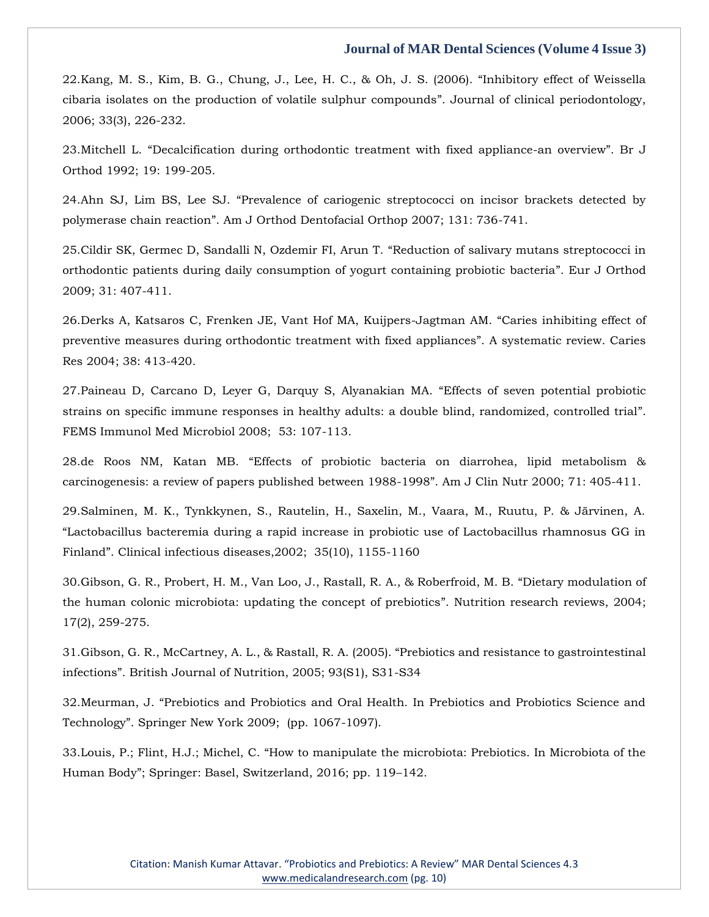22[.Kang, M. S., Kim, B. G., Chung, J., Lee, H. C., & Oh, J. S. \(2006\).](https://www.google.com/search?q=Inhibitory+effect+of+Weissella+cibaria+isolates+on+the+production+of+volatile+sulphur+compounds&sxsrf=AOaemvLRLGsXm8XdvPldbtR-3uyvLpMk5A%3A1639215346565&ei=8nC0YZ3_IbWWr7wPwZGwoA0&ved=0ahUKEwidwMSDudv0AhU1y4sBHcEIDNQQ4dUDCA4&uact=5&oq=Inhibitory+effect+of+Weissella+cibaria+isolates+on+the+production+of+volatile+sulphur+compounds&gs_lcp=Cgdnd3Mtd2l6EAMyBAgAEB46BwgjEOoCECdKBAhBGABKBAhGGABQ-gZY-gZgzAloAXAAeACAAZ0CiAGdApIBAzItMZgBAKABAaABArABCsABAQ&sclient=gws-wiz) "Inhibitory effect of Weissella [cibaria isolates on the production of volatile sulphur compounds](https://www.google.com/search?q=Inhibitory+effect+of+Weissella+cibaria+isolates+on+the+production+of+volatile+sulphur+compounds&sxsrf=AOaemvLRLGsXm8XdvPldbtR-3uyvLpMk5A%3A1639215346565&ei=8nC0YZ3_IbWWr7wPwZGwoA0&ved=0ahUKEwidwMSDudv0AhU1y4sBHcEIDNQQ4dUDCA4&uact=5&oq=Inhibitory+effect+of+Weissella+cibaria+isolates+on+the+production+of+volatile+sulphur+compounds&gs_lcp=Cgdnd3Mtd2l6EAMyBAgAEB46BwgjEOoCECdKBAhBGABKBAhGGABQ-gZY-gZgzAloAXAAeACAAZ0CiAGdApIBAzItMZgBAKABAaABArABCsABAQ&sclient=gws-wiz)". Journal of clinical periodontology, [2006; 33\(3\), 226-232.](https://www.google.com/search?q=Inhibitory+effect+of+Weissella+cibaria+isolates+on+the+production+of+volatile+sulphur+compounds&sxsrf=AOaemvLRLGsXm8XdvPldbtR-3uyvLpMk5A%3A1639215346565&ei=8nC0YZ3_IbWWr7wPwZGwoA0&ved=0ahUKEwidwMSDudv0AhU1y4sBHcEIDNQQ4dUDCA4&uact=5&oq=Inhibitory+effect+of+Weissella+cibaria+isolates+on+the+production+of+volatile+sulphur+compounds&gs_lcp=Cgdnd3Mtd2l6EAMyBAgAEB46BwgjEOoCECdKBAhBGABKBAhGGABQ-gZY-gZgzAloAXAAeACAAZ0CiAGdApIBAzItMZgBAKABAaABArABCsABAQ&sclient=gws-wiz)

23.Mitchell L. "[Decalcification during orthodontic treatment with fixed appliance-an overview](https://www.google.com/search?q=Decalcification+during+orthodontic+treatment+with+fixed+appliance-an+overview&sxsrf=AOaemvI2db4PFBFdYSidh3uQbaT3DWojFQ%3A1639215396545&ei=JHG0YerDIJTj2roPoOGtgAY&ved=0ahUKEwjq5a6budv0AhWUsVYBHaBwC2AQ4dUDCA4&uact=5&oq=Decalcification+during+orthodontic+treatment+with+fixed+appliance-an+overview&gs_lcp=Cgdnd3Mtd2l6EAMyBwgjEOoCECcyBwgjEOoCECcyBwgjEOoCECcyBwgjEOoCECcyBwgjEOoCECcyBwgjEOoCECcyBwgjEOoCECcyBwgjEOoCECcyBwgjEOoCECcyBwgjEOoCECdKBAhBGABKBAhGGABQoQZYoQZgxAhoAXAAeACAAQCIAQCSAQCYAQCgAQGgAQKwAQrAAQE&sclient=gws-wiz)". Br J [Orthod 1992; 19: 199-205.](https://www.google.com/search?q=Decalcification+during+orthodontic+treatment+with+fixed+appliance-an+overview&sxsrf=AOaemvI2db4PFBFdYSidh3uQbaT3DWojFQ%3A1639215396545&ei=JHG0YerDIJTj2roPoOGtgAY&ved=0ahUKEwjq5a6budv0AhWUsVYBHaBwC2AQ4dUDCA4&uact=5&oq=Decalcification+during+orthodontic+treatment+with+fixed+appliance-an+overview&gs_lcp=Cgdnd3Mtd2l6EAMyBwgjEOoCECcyBwgjEOoCECcyBwgjEOoCECcyBwgjEOoCECcyBwgjEOoCECcyBwgjEOoCECcyBwgjEOoCECcyBwgjEOoCECcyBwgjEOoCECcyBwgjEOoCECdKBAhBGABKBAhGGABQoQZYoQZgxAhoAXAAeACAAQCIAQCSAQCYAQCgAQGgAQKwAQrAAQE&sclient=gws-wiz)

24.Ahn SJ, Lim BS, Lee SJ. "[Prevalence of cariogenic streptococci on incisor brackets detected by](https://www.google.com/search?q=Prevalence+of+cariogenic+streptococci+on+incisor+brackets+detected+by+polymerase+chain+reaction&sxsrf=AOaemvLUNRN1ZXNNL69MCTaNiRawS31iZw%3A1639215422608&ei=PnG0Ye6vJMrh2roP3om6uAo&ved=0ahUKEwjuxuWnudv0AhXKsFYBHd6EDqcQ4dUDCA4&uact=5&oq=Prevalence+of+cariogenic+streptococci+on+incisor+brackets+detected+by+polymerase+chain+reaction&gs_lcp=Cgdnd3Mtd2l6EAMyBwgjEOoCECcyBwgjEOoCECcyBwgjEOoCECcyBwgjEOoCECcyBwgjEOoCECcyBwgjEOoCECcyBwgjEOoCECcyBwgjEOoCECcyBwgjEOoCECcyBwgjEOoCECdKBAhBGABKBAhGGABQ2gZY2gZg4AhoAXAAeACAAQCIAQCSAQCYAQCgAQGgAQKwAQrAAQE&sclient=gws-wiz)  polymerase chain reaction"[. Am J Orthod Dentofacial Orthop 2007; 131: 736-741.](https://www.google.com/search?q=Prevalence+of+cariogenic+streptococci+on+incisor+brackets+detected+by+polymerase+chain+reaction&sxsrf=AOaemvLUNRN1ZXNNL69MCTaNiRawS31iZw%3A1639215422608&ei=PnG0Ye6vJMrh2roP3om6uAo&ved=0ahUKEwjuxuWnudv0AhXKsFYBHd6EDqcQ4dUDCA4&uact=5&oq=Prevalence+of+cariogenic+streptococci+on+incisor+brackets+detected+by+polymerase+chain+reaction&gs_lcp=Cgdnd3Mtd2l6EAMyBwgjEOoCECcyBwgjEOoCECcyBwgjEOoCECcyBwgjEOoCECcyBwgjEOoCECcyBwgjEOoCECcyBwgjEOoCECcyBwgjEOoCECcyBwgjEOoCECcyBwgjEOoCECdKBAhBGABKBAhGGABQ2gZY2gZg4AhoAXAAeACAAQCIAQCSAQCYAQCgAQGgAQKwAQrAAQE&sclient=gws-wiz)

25[.Cildir SK, Germec D, Sandalli N, Ozdemir FI, Arun T.](https://www.google.com/search?q=Reduction+of+salivary+mutans+streptococci+in+orthodontic+patients+during+daily+consumption+of+yogurt+containing+probiotic+bacteria&sxsrf=AOaemvKVuJ19j-PJqsdOpuzzKuhfrlkO_g%3A1639215446977&ei=VnG0Ycn3OrHd2roP05ecwA0&ved=0ahUKEwjJ-rSzudv0AhWxrlYBHdMLB9gQ4dUDCA4&uact=5&oq=Reduction+of+salivary+mutans+streptococci+in+orthodontic+patients+during+daily+consumption+of+yogurt+containing+probiotic+bacteria&gs_lcp=Cgdnd3Mtd2l6EAMyBwgjEOoCECcyBwgjEOoCECcyBwgjEOoCECcyBwgjEOoCECcyBwgjEOoCECcyBwgjEOoCECcyBwgjEOoCECcyBwgjEOoCECcyBwgjEOoCECcyBwgjEOoCECdKBAhBGABKBAhGGABQxQVYxQVg5QdoAXAAeACAAQCIAQCSAQCYAQCgAQGgAQKwAQrAAQE&sclient=gws-wiz) "Reduction of salivary mutans streptococci in [orthodontic patients during daily consumption of yogurt containing probiotic bacteria](https://www.google.com/search?q=Reduction+of+salivary+mutans+streptococci+in+orthodontic+patients+during+daily+consumption+of+yogurt+containing+probiotic+bacteria&sxsrf=AOaemvKVuJ19j-PJqsdOpuzzKuhfrlkO_g%3A1639215446977&ei=VnG0Ycn3OrHd2roP05ecwA0&ved=0ahUKEwjJ-rSzudv0AhWxrlYBHdMLB9gQ4dUDCA4&uact=5&oq=Reduction+of+salivary+mutans+streptococci+in+orthodontic+patients+during+daily+consumption+of+yogurt+containing+probiotic+bacteria&gs_lcp=Cgdnd3Mtd2l6EAMyBwgjEOoCECcyBwgjEOoCECcyBwgjEOoCECcyBwgjEOoCECcyBwgjEOoCECcyBwgjEOoCECcyBwgjEOoCECcyBwgjEOoCECcyBwgjEOoCECcyBwgjEOoCECdKBAhBGABKBAhGGABQxQVYxQVg5QdoAXAAeACAAQCIAQCSAQCYAQCgAQGgAQKwAQrAAQE&sclient=gws-wiz)". Eur J Orthod [2009; 31: 407-411.](https://www.google.com/search?q=Reduction+of+salivary+mutans+streptococci+in+orthodontic+patients+during+daily+consumption+of+yogurt+containing+probiotic+bacteria&sxsrf=AOaemvKVuJ19j-PJqsdOpuzzKuhfrlkO_g%3A1639215446977&ei=VnG0Ycn3OrHd2roP05ecwA0&ved=0ahUKEwjJ-rSzudv0AhWxrlYBHdMLB9gQ4dUDCA4&uact=5&oq=Reduction+of+salivary+mutans+streptococci+in+orthodontic+patients+during+daily+consumption+of+yogurt+containing+probiotic+bacteria&gs_lcp=Cgdnd3Mtd2l6EAMyBwgjEOoCECcyBwgjEOoCECcyBwgjEOoCECcyBwgjEOoCECcyBwgjEOoCECcyBwgjEOoCECcyBwgjEOoCECcyBwgjEOoCECcyBwgjEOoCECcyBwgjEOoCECdKBAhBGABKBAhGGABQxQVYxQVg5QdoAXAAeACAAQCIAQCSAQCYAQCgAQGgAQKwAQrAAQE&sclient=gws-wiz)

26[.Derks A, Katsaros C, Frenken JE, Vant Hof MA, Kuijpers-Jagtman AM.](https://www.google.com/search?q=Caries+inhibiting+effect+of+preventive+measures+during+orthodontic+treatment+with+fixed+appliances&sxsrf=AOaemvJM_TKKU0fGTRQAxpQxv3WOsoeSPw%3A1639215465565&ei=aXG0YffdIfuO2roP35GSwAo&ved=0ahUKEwi3tqO8udv0AhV7h1YBHd-IBKgQ4dUDCA4&uact=5&oq=Caries+inhibiting+effect+of+preventive+measures+during+orthodontic+treatment+with+fixed+appliances&gs_lcp=Cgdnd3Mtd2l6EAM6BwgjEOoCECdKBAhBGABKBAhGGABQtwZYtwZgkQxoAXACeACAAdECiAHRApIBAzMtMZgBAKABAaABArABCsABAQ&sclient=gws-wiz) "Caries inhibiting effect of [preventive measures during orthodontic treatment with fixed appliances](https://www.google.com/search?q=Caries+inhibiting+effect+of+preventive+measures+during+orthodontic+treatment+with+fixed+appliances&sxsrf=AOaemvJM_TKKU0fGTRQAxpQxv3WOsoeSPw%3A1639215465565&ei=aXG0YffdIfuO2roP35GSwAo&ved=0ahUKEwi3tqO8udv0AhV7h1YBHd-IBKgQ4dUDCA4&uact=5&oq=Caries+inhibiting+effect+of+preventive+measures+during+orthodontic+treatment+with+fixed+appliances&gs_lcp=Cgdnd3Mtd2l6EAM6BwgjEOoCECdKBAhBGABKBAhGGABQtwZYtwZgkQxoAXACeACAAdECiAHRApIBAzMtMZgBAKABAaABArABCsABAQ&sclient=gws-wiz)". A systematic review. Caries [Res 2004; 38: 413-420.](https://www.google.com/search?q=Caries+inhibiting+effect+of+preventive+measures+during+orthodontic+treatment+with+fixed+appliances&sxsrf=AOaemvJM_TKKU0fGTRQAxpQxv3WOsoeSPw%3A1639215465565&ei=aXG0YffdIfuO2roP35GSwAo&ved=0ahUKEwi3tqO8udv0AhV7h1YBHd-IBKgQ4dUDCA4&uact=5&oq=Caries+inhibiting+effect+of+preventive+measures+during+orthodontic+treatment+with+fixed+appliances&gs_lcp=Cgdnd3Mtd2l6EAM6BwgjEOoCECdKBAhBGABKBAhGGABQtwZYtwZgkQxoAXACeACAAdECiAHRApIBAzMtMZgBAKABAaABArABCsABAQ&sclient=gws-wiz)

27[.Paineau D, Carcano D, Leyer G, Darquy S, Alyanakian MA.](https://www.google.com/search?q=Effects+of+seven+potential+probiotic+strains+on+specific+immune+responses+in+healthy+adults%3A+a+double+blind%2C+randomized%2C+controlled+trial&sxsrf=AOaemvJoKH1KI4kjCWvN45X82NkAu2LCAA%3A1639215499016&ei=i3G0YY8Uxd_aug-5nr_wDw&ved=0ahUKEwjPhZ3Mudv0AhXFr1YBHTnPD_4Q4dUDCA4&uact=5&oq=Effects+of+seven+potential+probiotic+strains+on+specific+immune+responses+in+healthy+adults%3A+a+double+blind%2C+randomized%2C+controlled+trial&gs_lcp=Cgdnd3Mtd2l6EAMyBwgjEOoCECcyBwgjEOoCECcyBwgjEOoCECcyBwgjEOoCECcyBwgjEOoCECcyBwgjEOoCECcyBwgjEOoCECcyBwgjEOoCECcyBwgjEOoCECcyBwgjEOoCECdKBAhBGABKBAhGGABQ8wVY8wVgughoAXAAeACAAQCIAQCSAQCYAQCgAQGgAQKwAQrAAQE&sclient=gws-wiz) "Effects of seven potential probiotic [strains on specific immune responses in healthy adults: a double blind, randomized, controlled trial](https://www.google.com/search?q=Effects+of+seven+potential+probiotic+strains+on+specific+immune+responses+in+healthy+adults%3A+a+double+blind%2C+randomized%2C+controlled+trial&sxsrf=AOaemvJoKH1KI4kjCWvN45X82NkAu2LCAA%3A1639215499016&ei=i3G0YY8Uxd_aug-5nr_wDw&ved=0ahUKEwjPhZ3Mudv0AhXFr1YBHTnPD_4Q4dUDCA4&uact=5&oq=Effects+of+seven+potential+probiotic+strains+on+specific+immune+responses+in+healthy+adults%3A+a+double+blind%2C+randomized%2C+controlled+trial&gs_lcp=Cgdnd3Mtd2l6EAMyBwgjEOoCECcyBwgjEOoCECcyBwgjEOoCECcyBwgjEOoCECcyBwgjEOoCECcyBwgjEOoCECcyBwgjEOoCECcyBwgjEOoCECcyBwgjEOoCECcyBwgjEOoCECdKBAhBGABKBAhGGABQ8wVY8wVgughoAXAAeACAAQCIAQCSAQCYAQCgAQGgAQKwAQrAAQE&sclient=gws-wiz)". [FEMS Immunol Med Microbiol 2008; 53: 107-113.](https://www.google.com/search?q=Effects+of+seven+potential+probiotic+strains+on+specific+immune+responses+in+healthy+adults%3A+a+double+blind%2C+randomized%2C+controlled+trial&sxsrf=AOaemvJoKH1KI4kjCWvN45X82NkAu2LCAA%3A1639215499016&ei=i3G0YY8Uxd_aug-5nr_wDw&ved=0ahUKEwjPhZ3Mudv0AhXFr1YBHTnPD_4Q4dUDCA4&uact=5&oq=Effects+of+seven+potential+probiotic+strains+on+specific+immune+responses+in+healthy+adults%3A+a+double+blind%2C+randomized%2C+controlled+trial&gs_lcp=Cgdnd3Mtd2l6EAMyBwgjEOoCECcyBwgjEOoCECcyBwgjEOoCECcyBwgjEOoCECcyBwgjEOoCECcyBwgjEOoCECcyBwgjEOoCECcyBwgjEOoCECcyBwgjEOoCECcyBwgjEOoCECdKBAhBGABKBAhGGABQ8wVY8wVgughoAXAAeACAAQCIAQCSAQCYAQCgAQGgAQKwAQrAAQE&sclient=gws-wiz)

28.de Roos NM, Katan MB. "[Effects of probiotic bacteria on diarrohea, lipid metabolism &](https://www.google.com/search?q=Effects+of+probiotic+bacteria+on+diarrohea%2C+lipid+metabolism+%26+carcinogenesis%3A+a+review+of+papers+published+between+1988-1998&sxsrf=AOaemvJdDKIdFKZdElJVUGKhGfyIFwIVNg%3A1639215518658&ei=nnG0YdrEJ67c2roP7duS6Ao&ved=0ahUKEwjai8zVudv0AhUurlYBHe2tBK0Q4dUDCA4&uact=5&oq=Effects+of+probiotic+bacteria+on+diarrohea%2C+lipid+metabolism+%26+carcinogenesis%3A+a+review+of+papers+published+between+1988-1998&gs_lcp=Cgdnd3Mtd2l6EAMyBwgjEOoCECcyBwgjEOoCECcyBwgjEOoCECcyBwgjEOoCECcyBwgjEOoCECcyBwgjEOoCECcyBwgjEOoCECcyBwgjEOoCECcyBwgjEOoCECcyBwgjEOoCECdKBAhBGABKBAhGGABQ-AZY-AZg5gloAXAAeACAAQCIAQCSAQCYAQCgAQGgAQKwAQrAAQE&sclient=gws-wiz)  [carcinogenesis: a review of papers published between 1988-1998](https://www.google.com/search?q=Effects+of+probiotic+bacteria+on+diarrohea%2C+lipid+metabolism+%26+carcinogenesis%3A+a+review+of+papers+published+between+1988-1998&sxsrf=AOaemvJdDKIdFKZdElJVUGKhGfyIFwIVNg%3A1639215518658&ei=nnG0YdrEJ67c2roP7duS6Ao&ved=0ahUKEwjai8zVudv0AhUurlYBHe2tBK0Q4dUDCA4&uact=5&oq=Effects+of+probiotic+bacteria+on+diarrohea%2C+lipid+metabolism+%26+carcinogenesis%3A+a+review+of+papers+published+between+1988-1998&gs_lcp=Cgdnd3Mtd2l6EAMyBwgjEOoCECcyBwgjEOoCECcyBwgjEOoCECcyBwgjEOoCECcyBwgjEOoCECcyBwgjEOoCECcyBwgjEOoCECcyBwgjEOoCECcyBwgjEOoCECcyBwgjEOoCECdKBAhBGABKBAhGGABQ-AZY-AZg5gloAXAAeACAAQCIAQCSAQCYAQCgAQGgAQKwAQrAAQE&sclient=gws-wiz)". Am J Clin Nutr 2000; 71: 405-411.

29[.Salminen, M. K., Tynkkynen, S., Rautelin, H., Saxelin, M., Vaara, M., Ruutu, P. & Järvinen, A.](https://www.google.com/search?q=Lactobacillus+bacteremia+during+a+rapid+increase+in+probiotic+use+of+Lactobacillus+rhamnosus+GG+in+Finland&sxsrf=AOaemvLumnr-E7huw0GBfvf-yCaunBleJw%3A1639215537192&ei=sXG0YZ-IC9_i2roPqsSo-Aw&ved=0ahUKEwjfpLfeudv0AhVfsVYBHSoiCs8Q4dUDCA4&uact=5&oq=Lactobacillus+bacteremia+during+a+rapid+increase+in+probiotic+use+of+Lactobacillus+rhamnosus+GG+in+Finland&gs_lcp=Cgdnd3Mtd2l6EAMyBwgjEOoCECcyBwgjEOoCECcyBwgjEOoCECcyBwgjEOoCECcyBwgjEOoCECcyBwgjEOoCECcyBwgjEOoCECcyBwgjEOoCECcyBwgjEOoCECcyBwgjEOoCECdKBAhBGABKBAhGGABQxgZYxgZgmAloAXAAeACAAQCIAQCSAQCYAQCgAQGgAQKwAQrAAQE&sclient=gws-wiz)  "Lactobacillus bacteremia [during a rapid increase in probiotic use of Lactobacillus rhamnosus GG in](https://www.google.com/search?q=Lactobacillus+bacteremia+during+a+rapid+increase+in+probiotic+use+of+Lactobacillus+rhamnosus+GG+in+Finland&sxsrf=AOaemvLumnr-E7huw0GBfvf-yCaunBleJw%3A1639215537192&ei=sXG0YZ-IC9_i2roPqsSo-Aw&ved=0ahUKEwjfpLfeudv0AhVfsVYBHSoiCs8Q4dUDCA4&uact=5&oq=Lactobacillus+bacteremia+during+a+rapid+increase+in+probiotic+use+of+Lactobacillus+rhamnosus+GG+in+Finland&gs_lcp=Cgdnd3Mtd2l6EAMyBwgjEOoCECcyBwgjEOoCECcyBwgjEOoCECcyBwgjEOoCECcyBwgjEOoCECcyBwgjEOoCECcyBwgjEOoCECcyBwgjEOoCECcyBwgjEOoCECcyBwgjEOoCECdKBAhBGABKBAhGGABQxgZYxgZgmAloAXAAeACAAQCIAQCSAQCYAQCgAQGgAQKwAQrAAQE&sclient=gws-wiz)  Finland"[. Clinical infectious diseases,2002; 35\(10\), 1155-1160](https://www.google.com/search?q=Lactobacillus+bacteremia+during+a+rapid+increase+in+probiotic+use+of+Lactobacillus+rhamnosus+GG+in+Finland&sxsrf=AOaemvLumnr-E7huw0GBfvf-yCaunBleJw%3A1639215537192&ei=sXG0YZ-IC9_i2roPqsSo-Aw&ved=0ahUKEwjfpLfeudv0AhVfsVYBHSoiCs8Q4dUDCA4&uact=5&oq=Lactobacillus+bacteremia+during+a+rapid+increase+in+probiotic+use+of+Lactobacillus+rhamnosus+GG+in+Finland&gs_lcp=Cgdnd3Mtd2l6EAMyBwgjEOoCECcyBwgjEOoCECcyBwgjEOoCECcyBwgjEOoCECcyBwgjEOoCECcyBwgjEOoCECcyBwgjEOoCECcyBwgjEOoCECcyBwgjEOoCECcyBwgjEOoCECdKBAhBGABKBAhGGABQxgZYxgZgmAloAXAAeACAAQCIAQCSAQCYAQCgAQGgAQKwAQrAAQE&sclient=gws-wiz)

30.Gibson, G. R., Probert, H. M., Van [Loo, J., Rastall, R. A., & Roberfroid, M. B.](https://www.google.com/search?q=Dietary+modulation+of+the+human+colonic+microbiota%3A+updating+the+concept+of+prebiotics&sxsrf=AOaemvJuGO0Rrs7vN86VtSjjrnyYMASHYg%3A1639215563239&ei=y3G0YavtDeSl2roPsLCX0Ac&ved=0ahUKEwjr_uzqudv0AhXkklYBHTDYBXoQ4dUDCA4&uact=5&oq=Dietary+modulation+of+the+human+colonic+microbiota%3A+updating+the+concept+of+prebiotics&gs_lcp=Cgdnd3Mtd2l6EAMyBwgjEOoCECcyBwgjEOoCECcyBwgjEOoCECcyBwgjEOoCECcyBwgjEOoCECcyBwgjEOoCECcyBwgjEOoCECcyBwgjEOoCECcyBwgjEOoCECcyBwgjEOoCECdKBAhBGABKBAhGGABQ8AVY8AVgiQhoAXACeACAAQCIAQCSAQCYAQCgAQGgAQKwAQrAAQE&sclient=gws-wiz) "Dietary modulation of [the human colonic microbiota: updating the concept of prebiotics](https://www.google.com/search?q=Dietary+modulation+of+the+human+colonic+microbiota%3A+updating+the+concept+of+prebiotics&sxsrf=AOaemvJuGO0Rrs7vN86VtSjjrnyYMASHYg%3A1639215563239&ei=y3G0YavtDeSl2roPsLCX0Ac&ved=0ahUKEwjr_uzqudv0AhXkklYBHTDYBXoQ4dUDCA4&uact=5&oq=Dietary+modulation+of+the+human+colonic+microbiota%3A+updating+the+concept+of+prebiotics&gs_lcp=Cgdnd3Mtd2l6EAMyBwgjEOoCECcyBwgjEOoCECcyBwgjEOoCECcyBwgjEOoCECcyBwgjEOoCECcyBwgjEOoCECcyBwgjEOoCECcyBwgjEOoCECcyBwgjEOoCECcyBwgjEOoCECdKBAhBGABKBAhGGABQ8AVY8AVgiQhoAXACeACAAQCIAQCSAQCYAQCgAQGgAQKwAQrAAQE&sclient=gws-wiz)". Nutrition research reviews, 2004; [17\(2\), 259-275.](https://www.google.com/search?q=Dietary+modulation+of+the+human+colonic+microbiota%3A+updating+the+concept+of+prebiotics&sxsrf=AOaemvJuGO0Rrs7vN86VtSjjrnyYMASHYg%3A1639215563239&ei=y3G0YavtDeSl2roPsLCX0Ac&ved=0ahUKEwjr_uzqudv0AhXkklYBHTDYBXoQ4dUDCA4&uact=5&oq=Dietary+modulation+of+the+human+colonic+microbiota%3A+updating+the+concept+of+prebiotics&gs_lcp=Cgdnd3Mtd2l6EAMyBwgjEOoCECcyBwgjEOoCECcyBwgjEOoCECcyBwgjEOoCECcyBwgjEOoCECcyBwgjEOoCECcyBwgjEOoCECcyBwgjEOoCECcyBwgjEOoCECcyBwgjEOoCECdKBAhBGABKBAhGGABQ8AVY8AVgiQhoAXACeACAAQCIAQCSAQCYAQCgAQGgAQKwAQrAAQE&sclient=gws-wiz)

31[.Gibson, G. R., McCartney, A. L., & Rastall, R. A. \(2005\).](https://www.google.com/search?q=Prebiotics+and+resistance+to+gastrointestinal+infections&sxsrf=AOaemvLpWXD5gkQHk2kLIZyZX_KJihHthA%3A1639215586497&ei=4nG0YY-0HdXc2roPrq-F0A4&ved=0ahUKEwiPrfj1udv0AhVVrlYBHa5XAeoQ4dUDCA4&uact=5&oq=Prebiotics+and+resistance+to+gastrointestinal+infections&gs_lcp=Cgdnd3Mtd2l6EAMyBwgjEOoCECcyBwgjEOoCECcyBwgjEOoCECcyBwgjEOoCECcyBwgjEOoCECcyBwgjEOoCECcyBwgjEOoCECcyBwgjEOoCECcyBwgjEOoCECcyBwgjEOoCECdKBAhBGABKBAhGGABQqgZYqgZg3QloAXACeACAAQCIAQCSAQCYAQCgAQGgAQKwAQrAAQE&sclient=gws-wiz) "Prebiotics and resistance to gastrointestinal infections"[. British Journal of Nutrition, 2005; 93\(S1\), S31-S34](https://www.google.com/search?q=Prebiotics+and+resistance+to+gastrointestinal+infections&sxsrf=AOaemvLpWXD5gkQHk2kLIZyZX_KJihHthA%3A1639215586497&ei=4nG0YY-0HdXc2roPrq-F0A4&ved=0ahUKEwiPrfj1udv0AhVVrlYBHa5XAeoQ4dUDCA4&uact=5&oq=Prebiotics+and+resistance+to+gastrointestinal+infections&gs_lcp=Cgdnd3Mtd2l6EAMyBwgjEOoCECcyBwgjEOoCECcyBwgjEOoCECcyBwgjEOoCECcyBwgjEOoCECcyBwgjEOoCECcyBwgjEOoCECcyBwgjEOoCECcyBwgjEOoCECcyBwgjEOoCECdKBAhBGABKBAhGGABQqgZYqgZg3QloAXACeACAAQCIAQCSAQCYAQCgAQGgAQKwAQrAAQE&sclient=gws-wiz)

32.Meurman, J. "[Prebiotics and Probiotics and Oral Health. In Prebiotics and Probiotics Science and](https://www.google.com/search?q=Prebiotics+and+Probiotics+and+Oral+Health.+In+Prebiotics+and+Probiotics+Science+and+Technology&sxsrf=AOaemvIVWWZs7CRByp6HMpI58BgjT3HERg%3A1639215641840&ei=GXK0YcawMufm2roPgbisqAk&ved=0ahUKEwiGoaqQutv0AhVns1YBHQEcC5UQ4dUDCA4&uact=5&oq=Prebiotics+and+Probiotics+and+Oral+Health.+In+Prebiotics+and+Probiotics+Science+and+Technology&gs_lcp=Cgdnd3Mtd2l6EAMyBwgjEOoCECcyBwgjEOoCECcyBwgjEOoCECcyBwgjEOoCECcyBwgjEOoCECcyBwgjEOoCECcyBwgjEOoCECcyBwgjEOoCECcyBwgjEOoCECcyBwgjEOoCECdKBAhBGABKBAhGGABQ8gVY8gVgjAhoAXAAeACAAQCIAQCSAQCYAQCgAQGgAQKwAQrAAQE&sclient=gws-wiz)  Technology"[. Springer New York 2009; \(pp. 1067-1097\).](https://www.google.com/search?q=Prebiotics+and+Probiotics+and+Oral+Health.+In+Prebiotics+and+Probiotics+Science+and+Technology&sxsrf=AOaemvIVWWZs7CRByp6HMpI58BgjT3HERg%3A1639215641840&ei=GXK0YcawMufm2roPgbisqAk&ved=0ahUKEwiGoaqQutv0AhVns1YBHQEcC5UQ4dUDCA4&uact=5&oq=Prebiotics+and+Probiotics+and+Oral+Health.+In+Prebiotics+and+Probiotics+Science+and+Technology&gs_lcp=Cgdnd3Mtd2l6EAMyBwgjEOoCECcyBwgjEOoCECcyBwgjEOoCECcyBwgjEOoCECcyBwgjEOoCECcyBwgjEOoCECcyBwgjEOoCECcyBwgjEOoCECcyBwgjEOoCECcyBwgjEOoCECdKBAhBGABKBAhGGABQ8gVY8gVgjAhoAXAAeACAAQCIAQCSAQCYAQCgAQGgAQKwAQrAAQE&sclient=gws-wiz)

33.Louis, P.; Flint, H.J.; Michel, C. "[How to manipulate the microbiota: Prebiotics. In Microbiota of the](https://www.google.com/search?q=How+to+manipulate+the+microbiota%3A+Prebiotics.+In+Microbiota+of+the+Human+Body&sxsrf=AOaemvLztK6nQZYTjOj9L3eGuPODiqK4pQ%3A1639215660222&ei=LHK0YdvYDLWl2roP_sq3iAM&ved=0ahUKEwjbnoyZutv0AhW1klYBHX7lDTEQ4dUDCA4&uact=5&oq=How+to+manipulate+the+microbiota%3A+Prebiotics.+In+Microbiota+of+the+Human+Body&gs_lcp=Cgdnd3Mtd2l6EAMyBwgjEOoCECcyBwgjEOoCECcyBwgjEOoCECcyBwgjEOoCECcyBwgjEOoCECcyBwgjEOoCECcyBwgjEOoCECcyBwgjEOoCECcyBwgjEOoCECcyBwgjEOoCECdKBAhBGABKBAhGGABQtAZYtAZg8AhoAXACeACAAQCIAQCSAQCYAQCgAQGgAQKwAQrAAQE&sclient=gws-wiz)  Human Body"[; Springer: Basel, Switzerland, 2016; pp. 119](https://www.google.com/search?q=How+to+manipulate+the+microbiota%3A+Prebiotics.+In+Microbiota+of+the+Human+Body&sxsrf=AOaemvLztK6nQZYTjOj9L3eGuPODiqK4pQ%3A1639215660222&ei=LHK0YdvYDLWl2roP_sq3iAM&ved=0ahUKEwjbnoyZutv0AhW1klYBHX7lDTEQ4dUDCA4&uact=5&oq=How+to+manipulate+the+microbiota%3A+Prebiotics.+In+Microbiota+of+the+Human+Body&gs_lcp=Cgdnd3Mtd2l6EAMyBwgjEOoCECcyBwgjEOoCECcyBwgjEOoCECcyBwgjEOoCECcyBwgjEOoCECcyBwgjEOoCECcyBwgjEOoCECcyBwgjEOoCECcyBwgjEOoCECcyBwgjEOoCECdKBAhBGABKBAhGGABQtAZYtAZg8AhoAXACeACAAQCIAQCSAQCYAQCgAQGgAQKwAQrAAQE&sclient=gws-wiz)–142.